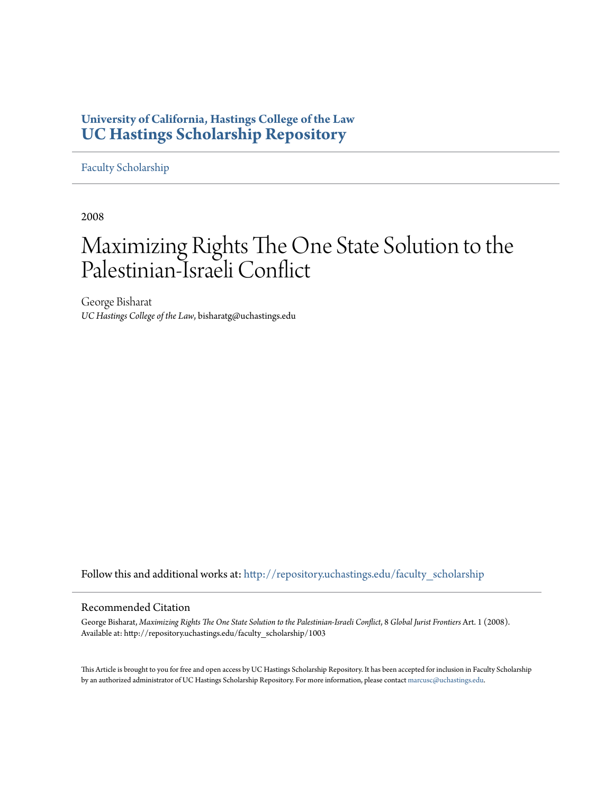## **University of California, Hastings College of the Law [UC Hastings Scholarship Repository](http://repository.uchastings.edu?utm_source=repository.uchastings.edu%2Ffaculty_scholarship%2F1003&utm_medium=PDF&utm_campaign=PDFCoverPages)**

[Faculty Scholarship](http://repository.uchastings.edu/faculty_scholarship?utm_source=repository.uchastings.edu%2Ffaculty_scholarship%2F1003&utm_medium=PDF&utm_campaign=PDFCoverPages)

2008

# Maximizing Rights The One State Solution to the Palestinian-Israeli Conflict

George Bisharat *UC Hastings College of the Law*, bisharatg@uchastings.edu

Follow this and additional works at: [http://repository.uchastings.edu/faculty\\_scholarship](http://repository.uchastings.edu/faculty_scholarship?utm_source=repository.uchastings.edu%2Ffaculty_scholarship%2F1003&utm_medium=PDF&utm_campaign=PDFCoverPages)

## Recommended Citation

George Bisharat, *Maximizing Rights The One State Solution to the Palestinian-Israeli Conflict*, 8 *Global Jurist Frontiers* Art. 1 (2008). Available at: http://repository.uchastings.edu/faculty\_scholarship/1003

This Article is brought to you for free and open access by UC Hastings Scholarship Repository. It has been accepted for inclusion in Faculty Scholarship by an authorized administrator of UC Hastings Scholarship Repository. For more information, please contact [marcusc@uchastings.edu](mailto:marcusc@uchastings.edu).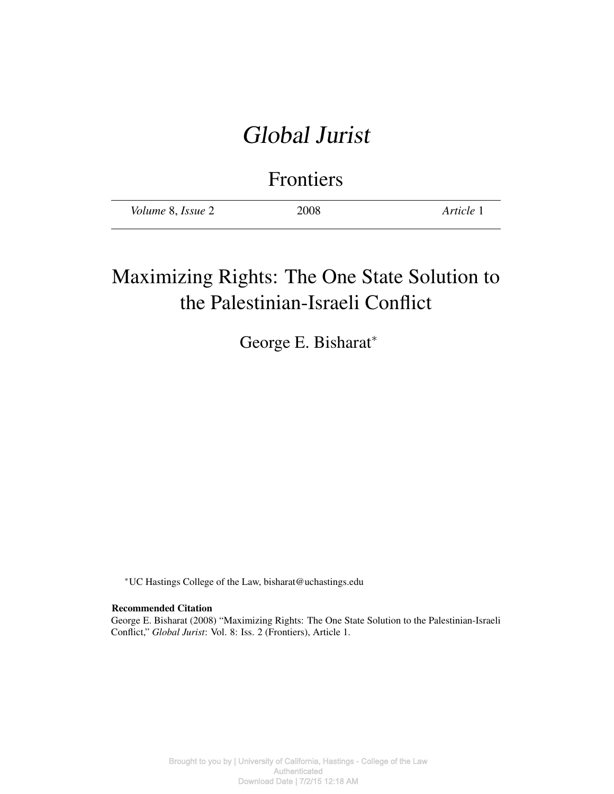# Global Jurist

# Frontiers

| Volume 8, Issue 2 | 2008 | Article 1 |
|-------------------|------|-----------|
|-------------------|------|-----------|

# Maximizing Rights: The One State Solution to the Palestinian-Israeli Conflict

George E. Bisharat<sup>∗</sup>

<sup>∗</sup>UC Hastings College of the Law, bisharat@uchastings.edu

### Recommended Citation

George E. Bisharat (2008) "Maximizing Rights: The One State Solution to the Palestinian-Israeli Conflict," *Global Jurist*: Vol. 8: Iss. 2 (Frontiers), Article 1.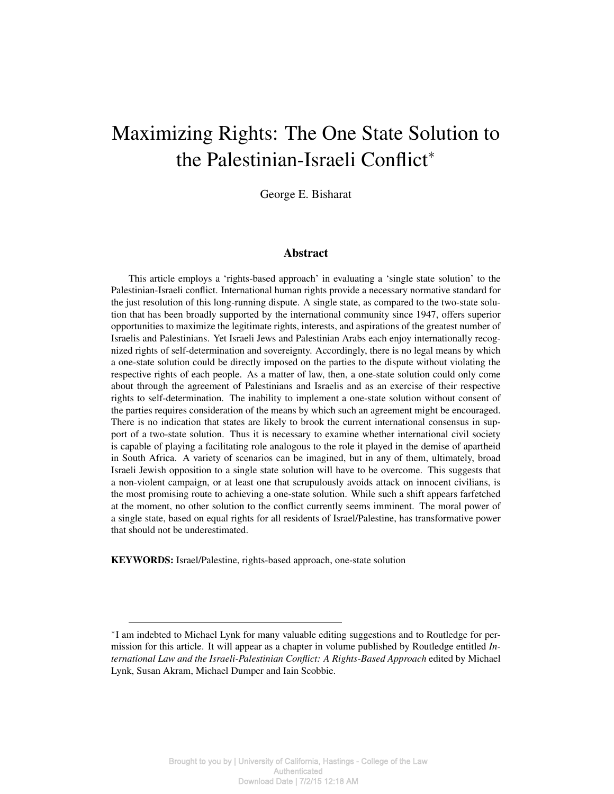# Maximizing Rights: The One State Solution to the Palestinian-Israeli Conflict<sup>∗</sup>

George E. Bisharat

#### **Abstract**

This article employs a 'rights-based approach' in evaluating a 'single state solution' to the Palestinian-Israeli conflict. International human rights provide a necessary normative standard for the just resolution of this long-running dispute. A single state, as compared to the two-state solution that has been broadly supported by the international community since 1947, offers superior opportunities to maximize the legitimate rights, interests, and aspirations of the greatest number of Israelis and Palestinians. Yet Israeli Jews and Palestinian Arabs each enjoy internationally recognized rights of self-determination and sovereignty. Accordingly, there is no legal means by which a one-state solution could be directly imposed on the parties to the dispute without violating the respective rights of each people. As a matter of law, then, a one-state solution could only come about through the agreement of Palestinians and Israelis and as an exercise of their respective rights to self-determination. The inability to implement a one-state solution without consent of the parties requires consideration of the means by which such an agreement might be encouraged. There is no indication that states are likely to brook the current international consensus in support of a two-state solution. Thus it is necessary to examine whether international civil society is capable of playing a facilitating role analogous to the role it played in the demise of apartheid in South Africa. A variety of scenarios can be imagined, but in any of them, ultimately, broad Israeli Jewish opposition to a single state solution will have to be overcome. This suggests that a non-violent campaign, or at least one that scrupulously avoids attack on innocent civilians, is the most promising route to achieving a one-state solution. While such a shift appears farfetched at the moment, no other solution to the conflict currently seems imminent. The moral power of a single state, based on equal rights for all residents of Israel/Palestine, has transformative power that should not be underestimated.

KEYWORDS: Israel/Palestine, rights-based approach, one-state solution

<sup>∗</sup> I am indebted to Michael Lynk for many valuable editing suggestions and to Routledge for permission for this article. It will appear as a chapter in volume published by Routledge entitled *International Law and the Israeli-Palestinian Conflict: A Rights-Based Approach* edited by Michael Lynk, Susan Akram, Michael Dumper and Iain Scobbie.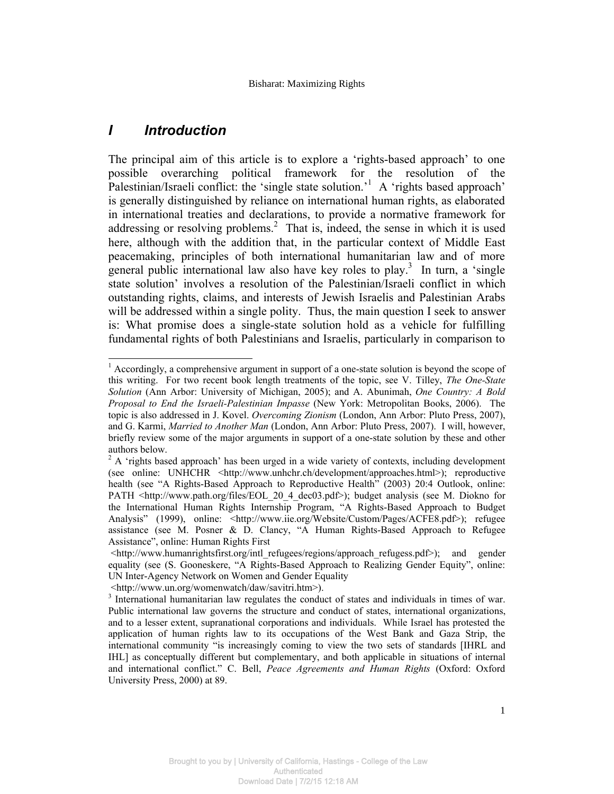## *I Introduction*

The principal aim of this article is to explore a 'rights-based approach' to one possible overarching political framework for the resolution of the Palestinian/Israeli conflict: the 'single state solution.<sup>1</sup> A 'rights based approach' is generally distinguished by reliance on international human rights, as elaborated in international treaties and declarations, to provide a normative framework for addressing or resolving problems.<sup>2</sup> That is, indeed, the sense in which it is used here, although with the addition that, in the particular context of Middle East peacemaking, principles of both international humanitarian law and of more general public international law also have key roles to play.<sup>3</sup> In turn, a 'single state solution' involves a resolution of the Palestinian/Israeli conflict in which outstanding rights, claims, and interests of Jewish Israelis and Palestinian Arabs will be addressed within a single polity. Thus, the main question I seek to answer is: What promise does a single-state solution hold as a vehicle for fulfilling fundamental rights of both Palestinians and Israelis, particularly in comparison to

<http://www.un.org/womenwatch/daw/savitri.htm>).

l  $<sup>1</sup>$  Accordingly, a comprehensive argument in support of a one-state solution is beyond the scope of</sup> this writing. For two recent book length treatments of the topic, see V. Tilley, *The One-State Solution* (Ann Arbor: University of Michigan, 2005); and A. Abunimah, *One Country: A Bold Proposal to End the Israeli-Palestinian Impasse* (New York: Metropolitan Books, 2006). The topic is also addressed in J. Kovel. *Overcoming Zionism* (London, Ann Arbor: Pluto Press, 2007), and G. Karmi, *Married to Another Man* (London, Ann Arbor: Pluto Press, 2007). I will, however, briefly review some of the major arguments in support of a one-state solution by these and other authors below.

 $2 A$  'rights based approach' has been urged in a wide variety of contexts, including development (see online: UNHCHR <http://www.unhchr.ch/development/approaches.html>); reproductive health (see "A Rights-Based Approach to Reproductive Health" (2003) 20:4 Outlook, online: PATH <http://www.path.org/files/EOL 20 4 dec03.pdf>); budget analysis (see M. Diokno for the International Human Rights Internship Program, "A Rights-Based Approach to Budget Analysis" (1999), online: <http://www.iie.org/Website/Custom/Pages/ACFE8.pdf>); refugee assistance (see M. Posner & D. Clancy, "A Human Rights-Based Approach to Refugee Assistance", online: Human Rights First

 $\text{th}(x)$  /www.humanrightsfirst.org/intl\_refugees/regions/approach\_refugess.pdf>); and gender equality (see (S. Gooneskere, "A Rights-Based Approach to Realizing Gender Equity", online: UN Inter-Agency Network on Women and Gender Equality

<sup>&</sup>lt;sup>3</sup> International humanitarian law regulates the conduct of states and individuals in times of war. Public international law governs the structure and conduct of states, international organizations, and to a lesser extent, supranational corporations and individuals. While Israel has protested the application of human rights law to its occupations of the West Bank and Gaza Strip, the international community "is increasingly coming to view the two sets of standards [IHRL and IHL] as conceptually different but complementary, and both applicable in situations of internal and international conflict." C. Bell, *Peace Agreements and Human Rights* (Oxford: Oxford University Press, 2000) at 89.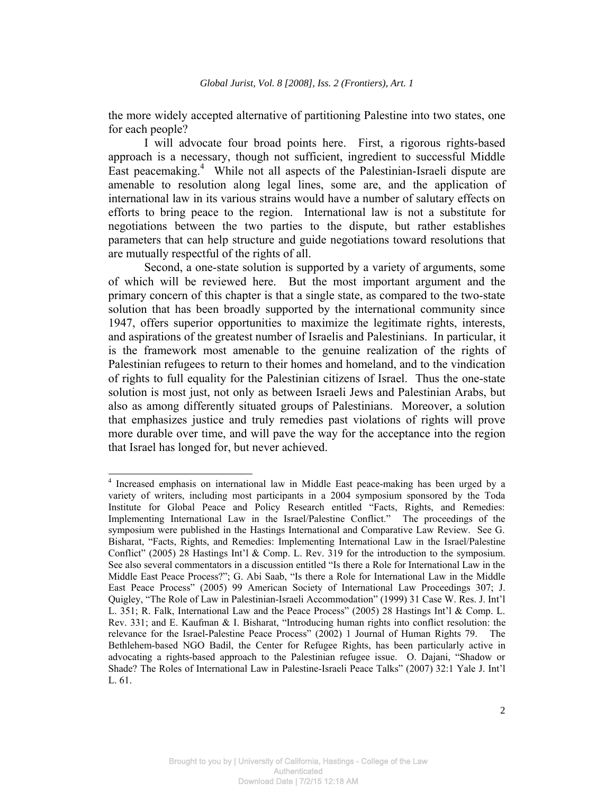the more widely accepted alternative of partitioning Palestine into two states, one for each people?

I will advocate four broad points here. First, a rigorous rights-based approach is a necessary, though not sufficient, ingredient to successful Middle East peacemaking.<sup>4</sup> While not all aspects of the Palestinian-Israeli dispute are amenable to resolution along legal lines, some are, and the application of international law in its various strains would have a number of salutary effects on efforts to bring peace to the region. International law is not a substitute for negotiations between the two parties to the dispute, but rather establishes parameters that can help structure and guide negotiations toward resolutions that are mutually respectful of the rights of all.

Second, a one-state solution is supported by a variety of arguments, some of which will be reviewed here. But the most important argument and the primary concern of this chapter is that a single state, as compared to the two-state solution that has been broadly supported by the international community since 1947, offers superior opportunities to maximize the legitimate rights, interests, and aspirations of the greatest number of Israelis and Palestinians. In particular, it is the framework most amenable to the genuine realization of the rights of Palestinian refugees to return to their homes and homeland, and to the vindication of rights to full equality for the Palestinian citizens of Israel. Thus the one-state solution is most just, not only as between Israeli Jews and Palestinian Arabs, but also as among differently situated groups of Palestinians. Moreover, a solution that emphasizes justice and truly remedies past violations of rights will prove more durable over time, and will pave the way for the acceptance into the region that Israel has longed for, but never achieved.

 4 Increased emphasis on international law in Middle East peace-making has been urged by a variety of writers, including most participants in a 2004 symposium sponsored by the Toda Institute for Global Peace and Policy Research entitled "Facts, Rights, and Remedies: Implementing International Law in the Israel/Palestine Conflict." The proceedings of the symposium were published in the Hastings International and Comparative Law Review. See G. Bisharat, "Facts, Rights, and Remedies: Implementing International Law in the Israel/Palestine Conflict" (2005) 28 Hastings Int'l & Comp. L. Rev. 319 for the introduction to the symposium. See also several commentators in a discussion entitled "Is there a Role for International Law in the Middle East Peace Process?"; G. Abi Saab, "Is there a Role for International Law in the Middle East Peace Process" (2005) 99 American Society of International Law Proceedings 307; J. Quigley, "The Role of Law in Palestinian-Israeli Accommodation" (1999) 31 Case W. Res. J. Int'l L. 351; R. Falk, International Law and the Peace Process" (2005) 28 Hastings Int'l & Comp. L. Rev. 331; and E. Kaufman & I. Bisharat, "Introducing human rights into conflict resolution: the relevance for the Israel-Palestine Peace Process" (2002) 1 Journal of Human Rights 79. The Bethlehem-based NGO Badil, the Center for Refugee Rights, has been particularly active in advocating a rights-based approach to the Palestinian refugee issue. O. Dajani, "Shadow or Shade? The Roles of International Law in Palestine-Israeli Peace Talks" (2007) 32:1 Yale J. Int'l L. 61.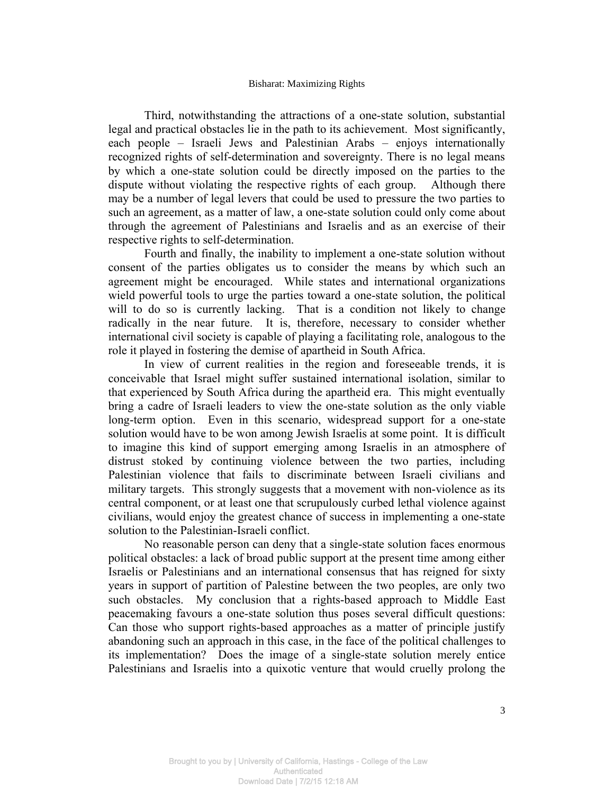Third, notwithstanding the attractions of a one-state solution, substantial legal and practical obstacles lie in the path to its achievement. Most significantly, each people – Israeli Jews and Palestinian Arabs – enjoys internationally recognized rights of self-determination and sovereignty. There is no legal means by which a one-state solution could be directly imposed on the parties to the dispute without violating the respective rights of each group. Although there may be a number of legal levers that could be used to pressure the two parties to such an agreement, as a matter of law, a one-state solution could only come about through the agreement of Palestinians and Israelis and as an exercise of their respective rights to self-determination.

Fourth and finally, the inability to implement a one-state solution without consent of the parties obligates us to consider the means by which such an agreement might be encouraged. While states and international organizations wield powerful tools to urge the parties toward a one-state solution, the political will to do so is currently lacking. That is a condition not likely to change radically in the near future. It is, therefore, necessary to consider whether international civil society is capable of playing a facilitating role, analogous to the role it played in fostering the demise of apartheid in South Africa.

In view of current realities in the region and foreseeable trends, it is conceivable that Israel might suffer sustained international isolation, similar to that experienced by South Africa during the apartheid era. This might eventually bring a cadre of Israeli leaders to view the one-state solution as the only viable long-term option. Even in this scenario, widespread support for a one-state solution would have to be won among Jewish Israelis at some point. It is difficult to imagine this kind of support emerging among Israelis in an atmosphere of distrust stoked by continuing violence between the two parties, including Palestinian violence that fails to discriminate between Israeli civilians and military targets. This strongly suggests that a movement with non-violence as its central component, or at least one that scrupulously curbed lethal violence against civilians, would enjoy the greatest chance of success in implementing a one-state solution to the Palestinian-Israeli conflict.

No reasonable person can deny that a single-state solution faces enormous political obstacles: a lack of broad public support at the present time among either Israelis or Palestinians and an international consensus that has reigned for sixty years in support of partition of Palestine between the two peoples, are only two such obstacles. My conclusion that a rights-based approach to Middle East peacemaking favours a one-state solution thus poses several difficult questions: Can those who support rights-based approaches as a matter of principle justify abandoning such an approach in this case, in the face of the political challenges to its implementation? Does the image of a single-state solution merely entice Palestinians and Israelis into a quixotic venture that would cruelly prolong the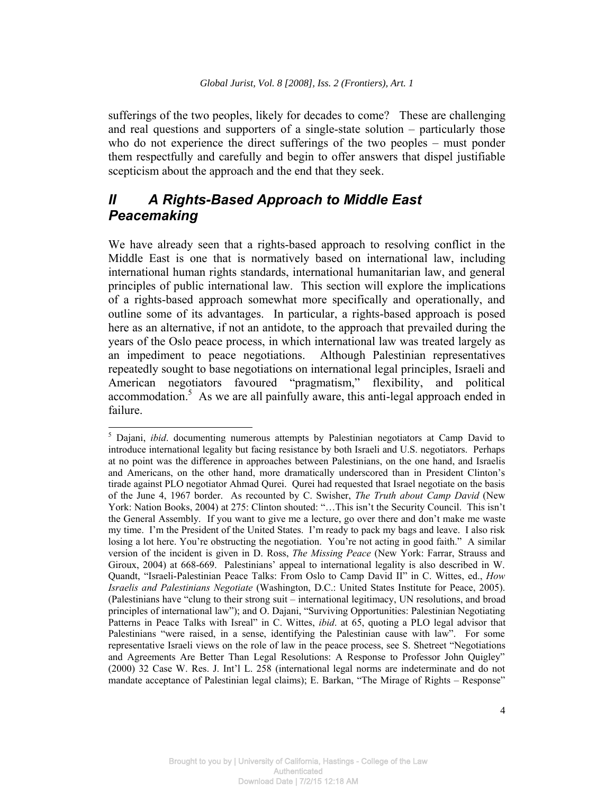sufferings of the two peoples, likely for decades to come? These are challenging and real questions and supporters of a single-state solution – particularly those who do not experience the direct sufferings of the two peoples – must ponder them respectfully and carefully and begin to offer answers that dispel justifiable scepticism about the approach and the end that they seek.

# *II A Rights-Based Approach to Middle East Peacemaking*

l

We have already seen that a rights-based approach to resolving conflict in the Middle East is one that is normatively based on international law, including international human rights standards, international humanitarian law, and general principles of public international law. This section will explore the implications of a rights-based approach somewhat more specifically and operationally, and outline some of its advantages. In particular, a rights-based approach is posed here as an alternative, if not an antidote, to the approach that prevailed during the years of the Oslo peace process, in which international law was treated largely as an impediment to peace negotiations. Although Palestinian representatives repeatedly sought to base negotiations on international legal principles, Israeli and American negotiators favoured "pragmatism," flexibility, and political accommodation.<sup>5</sup> As we are all painfully aware, this anti-legal approach ended in failure.

<sup>&</sup>lt;sup>5</sup> Dajani, *ibid*. documenting numerous attempts by Palestinian negotiators at Camp David to introduce international legality but facing resistance by both Israeli and U.S. negotiators. Perhaps at no point was the difference in approaches between Palestinians, on the one hand, and Israelis and Americans, on the other hand, more dramatically underscored than in President Clinton's tirade against PLO negotiator Ahmad Qurei. Qurei had requested that Israel negotiate on the basis of the June 4, 1967 border. As recounted by C. Swisher, *The Truth about Camp David* (New York: Nation Books, 2004) at 275: Clinton shouted: "…This isn't the Security Council. This isn't the General Assembly. If you want to give me a lecture, go over there and don't make me waste my time. I'm the President of the United States. I'm ready to pack my bags and leave. I also risk losing a lot here. You're obstructing the negotiation. You're not acting in good faith." A similar version of the incident is given in D. Ross, *The Missing Peace* (New York: Farrar, Strauss and Giroux, 2004) at 668-669. Palestinians' appeal to international legality is also described in W. Quandt, "Israeli-Palestinian Peace Talks: From Oslo to Camp David II" in C. Wittes, ed., *How Israelis and Palestinians Negotiate* (Washington, D.C.: United States Institute for Peace, 2005). (Palestinians have "clung to their strong suit – international legitimacy, UN resolutions, and broad principles of international law"); and O. Dajani, "Surviving Opportunities: Palestinian Negotiating Patterns in Peace Talks with Isreal" in C. Wittes, *ibid*. at 65, quoting a PLO legal advisor that Palestinians "were raised, in a sense, identifying the Palestinian cause with law". For some representative Israeli views on the role of law in the peace process, see S. Shetreet "Negotiations and Agreements Are Better Than Legal Resolutions: A Response to Professor John Quigley" (2000) 32 Case W. Res. J. Int'l L. 258 (international legal norms are indeterminate and do not mandate acceptance of Palestinian legal claims); E. Barkan, "The Mirage of Rights – Response"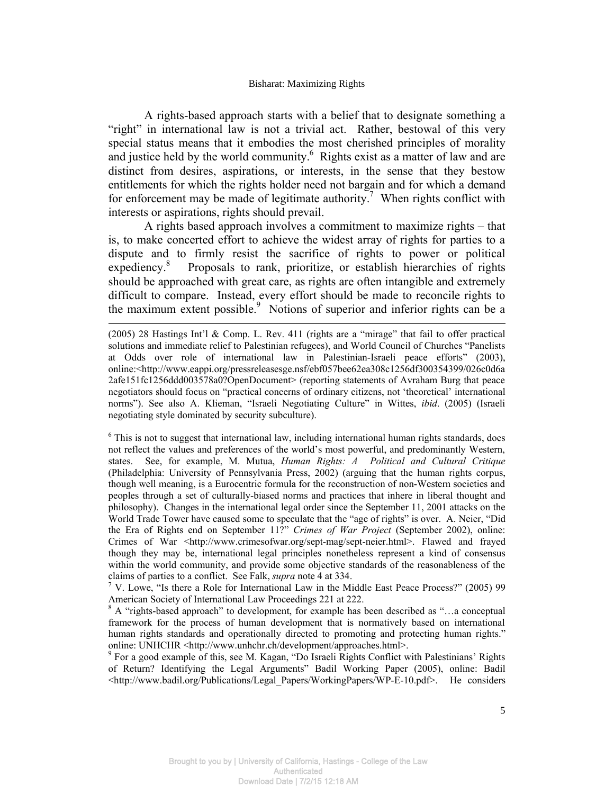A rights-based approach starts with a belief that to designate something a "right" in international law is not a trivial act. Rather, bestowal of this very special status means that it embodies the most cherished principles of morality and justice held by the world community.<sup>6</sup> Rights exist as a matter of law and are distinct from desires, aspirations, or interests, in the sense that they bestow entitlements for which the rights holder need not bargain and for which a demand for enforcement may be made of legitimate authority.<sup>7</sup> When rights conflict with interests or aspirations, rights should prevail.

A rights based approach involves a commitment to maximize rights – that is, to make concerted effort to achieve the widest array of rights for parties to a dispute and to firmly resist the sacrifice of rights to power or political expediency.<sup>8</sup> Proposals to rank, prioritize, or establish hierarchies of rights should be approached with great care, as rights are often intangible and extremely difficult to compare. Instead, every effort should be made to reconcile rights to the maximum extent possible.<sup>9</sup> Notions of superior and inferior rights can be a

(2005) 28 Hastings Int'l & Comp. L. Rev. 411 (rights are a "mirage" that fail to offer practical solutions and immediate relief to Palestinian refugees), and World Council of Churches "Panelists at Odds over role of international law in Palestinian-Israeli peace efforts" (2003), online:<http://www.eappi.org/pressreleasesge.nsf/ebf057bee62ea308c1256df300354399/026c0d6a 2afe151fc1256ddd003578a0?OpenDocument> (reporting statements of Avraham Burg that peace negotiators should focus on "practical concerns of ordinary citizens, not 'theoretical' international norms"). See also A. Klieman, "Israeli Negotiating Culture" in Wittes, *ibid*. (2005) (Israeli negotiating style dominated by security subculture).

l

<sup>6</sup> This is not to suggest that international law, including international human rights standards, does not reflect the values and preferences of the world's most powerful, and predominantly Western, states. See, for example, M. Mutua, *Human Rights: A Political and Cultural Critique*  (Philadelphia: University of Pennsylvania Press, 2002) (arguing that the human rights corpus, though well meaning, is a Eurocentric formula for the reconstruction of non-Western societies and peoples through a set of culturally-biased norms and practices that inhere in liberal thought and philosophy). Changes in the international legal order since the September 11, 2001 attacks on the World Trade Tower have caused some to speculate that the "age of rights" is over. A. Neier, "Did the Era of Rights end on September 11?" *Crimes of War Project* (September 2002), online: Crimes of War <http://www.crimesofwar.org/sept-mag/sept-neier.html>. Flawed and frayed though they may be, international legal principles nonetheless represent a kind of consensus within the world community, and provide some objective standards of the reasonableness of the claims of parties to a conflict. See Falk, *supra* note 4 at 334. 7

<sup>7</sup> V. Lowe, "Is there a Role for International Law in the Middle East Peace Process?" (2005) 99 American Society of International Law Proceedings 221 at 222.

<sup>8</sup> A "rights-based approach" to development, for example has been described as "...a conceptual framework for the process of human development that is normatively based on international human rights standards and operationally directed to promoting and protecting human rights." online: UNHCHR <http://www.unhchr.ch/development/approaches.html>.

<sup>9</sup> For a good example of this, see M. Kagan, "Do Israeli Rights Conflict with Palestinians' Rights of Return? Identifying the Legal Arguments" Badil Working Paper (2005), online: Badil  $\langle \text{http://www.badil.org/Publications/Legal Papers/WorkingPapers/WP-E-10.pdf} \rangle$ . He considers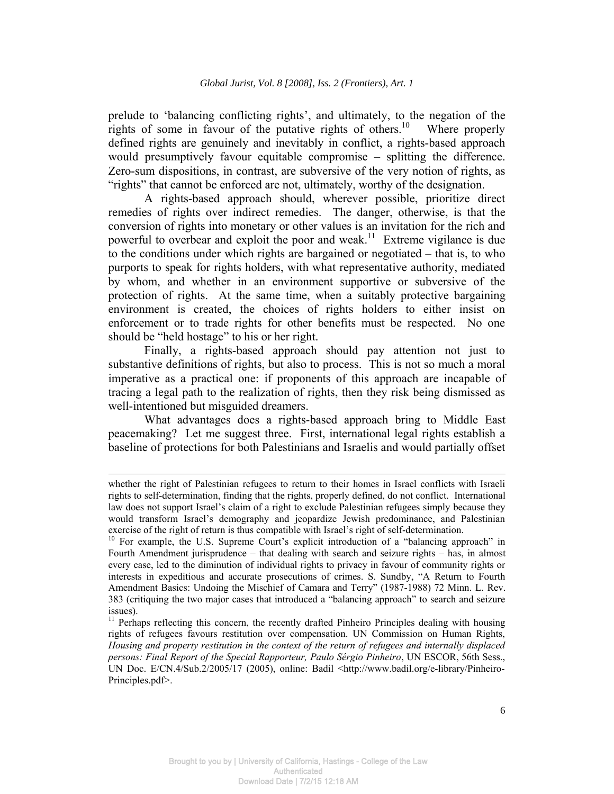prelude to 'balancing conflicting rights', and ultimately, to the negation of the rights of some in favour of the putative rights of others.<sup>10</sup> Where properly defined rights are genuinely and inevitably in conflict, a rights-based approach would presumptively favour equitable compromise – splitting the difference. Zero-sum dispositions, in contrast, are subversive of the very notion of rights, as "rights" that cannot be enforced are not, ultimately, worthy of the designation.

A rights-based approach should, wherever possible, prioritize direct remedies of rights over indirect remedies. The danger, otherwise, is that the conversion of rights into monetary or other values is an invitation for the rich and powerful to overbear and exploit the poor and weak.11 Extreme vigilance is due to the conditions under which rights are bargained or negotiated – that is, to who purports to speak for rights holders, with what representative authority, mediated by whom, and whether in an environment supportive or subversive of the protection of rights. At the same time, when a suitably protective bargaining environment is created, the choices of rights holders to either insist on enforcement or to trade rights for other benefits must be respected. No one should be "held hostage" to his or her right.

Finally, a rights-based approach should pay attention not just to substantive definitions of rights, but also to process. This is not so much a moral imperative as a practical one: if proponents of this approach are incapable of tracing a legal path to the realization of rights, then they risk being dismissed as well-intentioned but misguided dreamers.

What advantages does a rights-based approach bring to Middle East peacemaking? Let me suggest three. First, international legal rights establish a baseline of protections for both Palestinians and Israelis and would partially offset

 $\overline{a}$ whether the right of Palestinian refugees to return to their homes in Israel conflicts with Israeli rights to self-determination, finding that the rights, properly defined, do not conflict. International law does not support Israel's claim of a right to exclude Palestinian refugees simply because they would transform Israel's demography and jeopardize Jewish predominance, and Palestinian exercise of the right of return is thus compatible with Israel's right of self-determination.

<sup>&</sup>lt;sup>10</sup> For example, the U.S. Supreme Court's explicit introduction of a "balancing approach" in Fourth Amendment jurisprudence – that dealing with search and seizure rights – has, in almost every case, led to the diminution of individual rights to privacy in favour of community rights or interests in expeditious and accurate prosecutions of crimes. S. Sundby, "A Return to Fourth Amendment Basics: Undoing the Mischief of Camara and Terry" (1987-1988) 72 Minn. L. Rev. 383 (critiquing the two major cases that introduced a "balancing approach" to search and seizure issues).

<sup>&</sup>lt;sup>11</sup> Perhaps reflecting this concern, the recently drafted Pinheiro Principles dealing with housing rights of refugees favours restitution over compensation. UN Commission on Human Rights, *Housing and property restitution in the context of the return of refugees and internally displaced persons: Final Report of the Special Rapporteur, Paulo Sérgio Pinheiro*, UN ESCOR, 56th Sess., UN Doc. E/CN.4/Sub.2/2005/17 (2005), online: Badil <http://www.badil.org/e-library/Pinheiro-Principles.pdf>.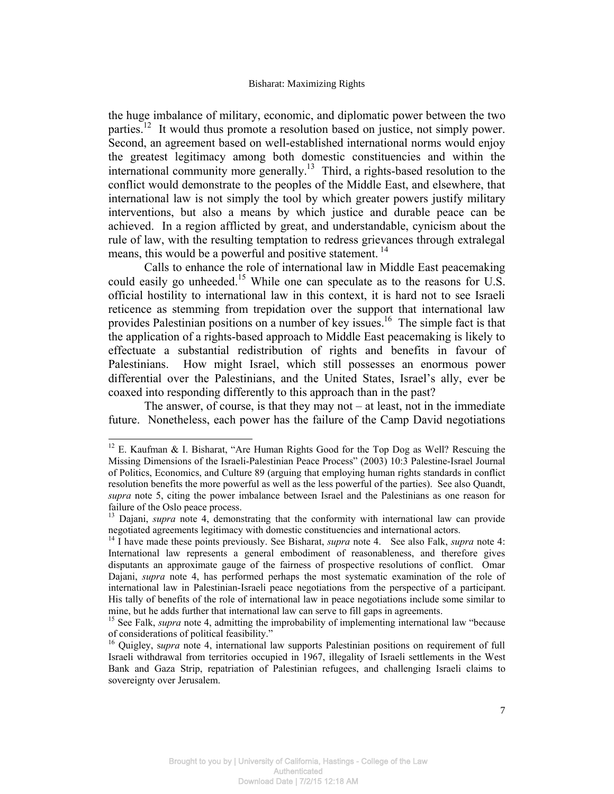the huge imbalance of military, economic, and diplomatic power between the two parties.<sup>12</sup> It would thus promote a resolution based on justice, not simply power. Second, an agreement based on well-established international norms would enjoy the greatest legitimacy among both domestic constituencies and within the international community more generally.13 Third, a rights-based resolution to the conflict would demonstrate to the peoples of the Middle East, and elsewhere, that international law is not simply the tool by which greater powers justify military interventions, but also a means by which justice and durable peace can be achieved. In a region afflicted by great, and understandable, cynicism about the rule of law, with the resulting temptation to redress grievances through extralegal means, this would be a powerful and positive statement.<sup>14</sup>

Calls to enhance the role of international law in Middle East peacemaking could easily go unheeded.<sup>15</sup> While one can speculate as to the reasons for U.S. official hostility to international law in this context, it is hard not to see Israeli reticence as stemming from trepidation over the support that international law provides Palestinian positions on a number of key issues.<sup>16</sup> The simple fact is that the application of a rights-based approach to Middle East peacemaking is likely to effectuate a substantial redistribution of rights and benefits in favour of Palestinians. How might Israel, which still possesses an enormous power differential over the Palestinians, and the United States, Israel's ally, ever be coaxed into responding differently to this approach than in the past?

The answer, of course, is that they may not  $-$  at least, not in the immediate future. Nonetheless, each power has the failure of the Camp David negotiations

<sup>&</sup>lt;sup>12</sup> E. Kaufman & I. Bisharat, "Are Human Rights Good for the Top Dog as Well? Rescuing the Missing Dimensions of the Israeli-Palestinian Peace Process" (2003) 10:3 Palestine-Israel Journal of Politics, Economics, and Culture 89 (arguing that employing human rights standards in conflict resolution benefits the more powerful as well as the less powerful of the parties). See also Quandt, *supra* note 5, citing the power imbalance between Israel and the Palestinians as one reason for failure of the Oslo peace process.

<sup>&</sup>lt;sup>13</sup> Dajani, *supra* note 4, demonstrating that the conformity with international law can provide negotiated agreements legitimacy with domestic constituencies and international actors.

<sup>14</sup> I have made these points previously. See Bisharat, *supra* note 4. See also Falk, *supra* note 4: International law represents a general embodiment of reasonableness, and therefore gives disputants an approximate gauge of the fairness of prospective resolutions of conflict. Omar Dajani, *supra* note 4, has performed perhaps the most systematic examination of the role of international law in Palestinian-Israeli peace negotiations from the perspective of a participant. His tally of benefits of the role of international law in peace negotiations include some similar to mine, but he adds further that international law can serve to fill gaps in agreements.

<sup>&</sup>lt;sup>15</sup> See Falk, *supra* note 4, admitting the improbability of implementing international law "because of considerations of political feasibility."

<sup>&</sup>lt;sup>16</sup> Quigley, supra note 4, international law supports Palestinian positions on requirement of full Israeli withdrawal from territories occupied in 1967, illegality of Israeli settlements in the West Bank and Gaza Strip, repatriation of Palestinian refugees, and challenging Israeli claims to sovereignty over Jerusalem.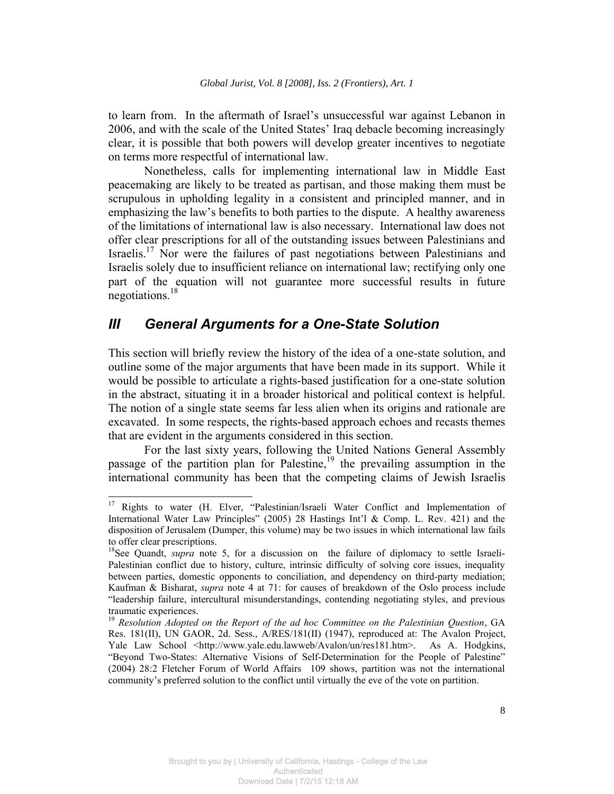to learn from. In the aftermath of Israel's unsuccessful war against Lebanon in 2006, and with the scale of the United States' Iraq debacle becoming increasingly clear, it is possible that both powers will develop greater incentives to negotiate on terms more respectful of international law.

Nonetheless, calls for implementing international law in Middle East peacemaking are likely to be treated as partisan, and those making them must be scrupulous in upholding legality in a consistent and principled manner, and in emphasizing the law's benefits to both parties to the dispute. A healthy awareness of the limitations of international law is also necessary. International law does not offer clear prescriptions for all of the outstanding issues between Palestinians and Israelis.17 Nor were the failures of past negotiations between Palestinians and Israelis solely due to insufficient reliance on international law; rectifying only one part of the equation will not guarantee more successful results in future negotiations.18

# *III General Arguments for a One-State Solution*

This section will briefly review the history of the idea of a one-state solution, and outline some of the major arguments that have been made in its support. While it would be possible to articulate a rights-based justification for a one-state solution in the abstract, situating it in a broader historical and political context is helpful. The notion of a single state seems far less alien when its origins and rationale are excavated. In some respects, the rights-based approach echoes and recasts themes that are evident in the arguments considered in this section.

For the last sixty years, following the United Nations General Assembly passage of the partition plan for Palestine,<sup>19</sup> the prevailing assumption in the international community has been that the competing claims of Jewish Israelis

 17 Rights to water (H. Elver, "Palestinian/Israeli Water Conflict and Implementation of International Water Law Principles" (2005) 28 Hastings Int'l & Comp. L. Rev. 421) and the disposition of Jerusalem (Dumper, this volume) may be two issues in which international law fails to offer clear prescriptions.

<sup>&</sup>lt;sup>18</sup>See Quandt, *supra* note 5, for a discussion on the failure of diplomacy to settle Israeli-Palestinian conflict due to history, culture, intrinsic difficulty of solving core issues, inequality between parties, domestic opponents to conciliation, and dependency on third-party mediation; Kaufman & Bisharat, *supra* note 4 at 71: for causes of breakdown of the Oslo process include "leadership failure, intercultural misunderstandings, contending negotiating styles, and previous traumatic experiences.

<sup>&</sup>lt;sup>19</sup> Resolution Adopted on the Report of the ad hoc Committee on the Palestinian Question, GA Res. 181(II), UN GAOR, 2d. Sess., A/RES/181(II) (1947), reproduced at: The Avalon Project, Yale Law School <http://www.yale.edu.lawweb/Avalon/un/res181.htm>. As A. Hodgkins, "Beyond Two-States: Alternative Visions of Self-Determination for the People of Palestine" (2004) 28:2 Fletcher Forum of World Affairs 109 shows, partition was not the international community's preferred solution to the conflict until virtually the eve of the vote on partition.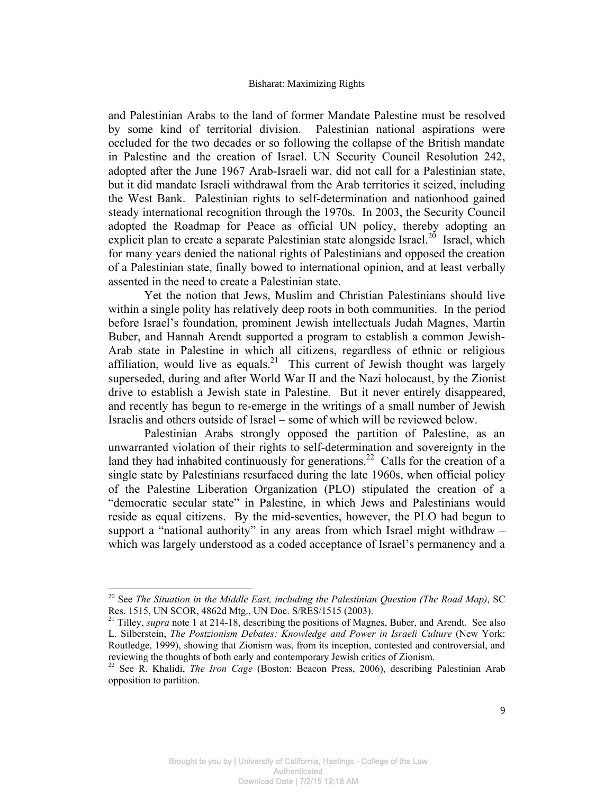and Palestinian Arabs to the land of former Mandate Palestine must be resolved by some kind of territorial division. Palestinian national aspirations were occluded for the two decades or so following the collapse of the British mandate in Palestine and the creation of Israel. UN Security Council Resolution 242, adopted after the June 1967 Arab-Israeli war, did not call for a Palestinian state, but it did mandate Israeli withdrawal from the Arab territories it seized, including the West Bank. Palestinian rights to self-determination and nationhood gained steady international recognition through the 1970s. In 2003, the Security Council adopted the Roadmap for Peace as official UN policy, thereby adopting an explicit plan to create a separate Palestinian state alongside Israel.<sup>20</sup> Israel, which for many years denied the national rights of Palestinians and opposed the creation of a Palestinian state, finally bowed to international opinion, and at least verbally assented in the need to create a Palestinian state.

Yet the notion that Jews, Muslim and Christian Palestinians should live within a single polity has relatively deep roots in both communities. In the period before Israel's foundation, prominent Jewish intellectuals Judah Magnes, Martin Buber, and Hannah Arendt supported a program to establish a common Jewish-Arab state in Palestine in which all citizens, regardless of ethnic or religious affiliation, would live as equals.<sup>21</sup> This current of Jewish thought was largely superseded, during and after World War II and the Nazi holocaust, by the Zionist drive to establish a Jewish state in Palestine. But it never entirely disappeared, and recently has begun to re-emerge in the writings of a small number of Jewish Israelis and others outside of Israel – some of which will be reviewed below.

Palestinian Arabs strongly opposed the partition of Palestine, as an unwarranted violation of their rights to self-determination and sovereignty in the land they had inhabited continuously for generations.<sup>22</sup> Calls for the creation of a single state by Palestinians resurfaced during the late 1960s, when official policy of the Palestine Liberation Organization (PLO) stipulated the creation of a "democratic secular state" in Palestine, in which Jews and Palestinians would reside as equal citizens. By the mid-seventies, however, the PLO had begun to support a "national authority" in any areas from which Israel might withdraw – which was largely understood as a coded acceptance of Israel's permanency and a

<sup>20</sup> See *The Situation in the Middle East, including the Palestinian Question (The Road Map)*, SC Res. 1515, UN SCOR, 4862d Mtg., UN Doc. S/RES/1515 (2003).

<sup>&</sup>lt;sup>21</sup> Tilley, *supra* note 1 at 214-18, describing the positions of Magnes, Buber, and Arendt. See also L. Silberstein, *The Postzionism Debates: Knowledge and Power in Israeli Culture* (New York: Routledge, 1999), showing that Zionism was, from its inception, contested and controversial, and reviewing the thoughts of both early and contemporary Jewish critics of Zionism.

<sup>22</sup> See R. Khalidi, *The Iron Cage* (Boston: Beacon Press, 2006), describing Palestinian Arab opposition to partition.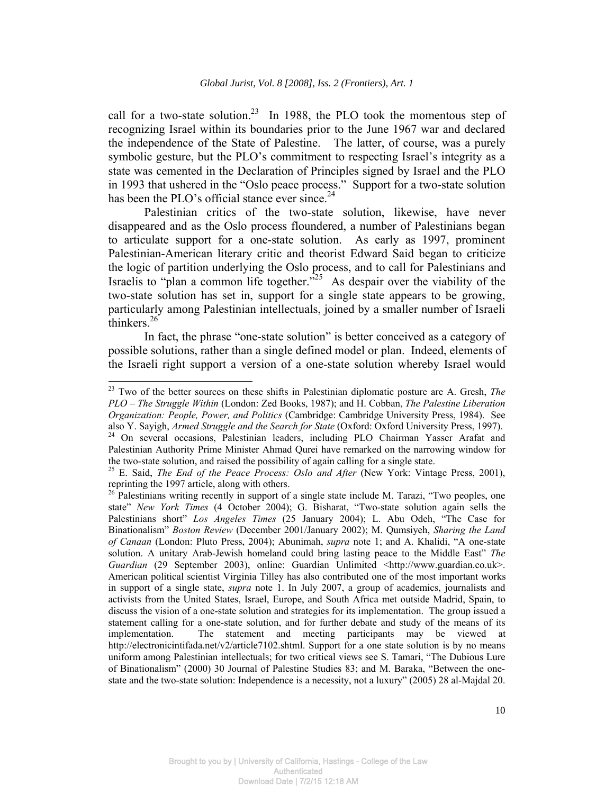call for a two-state solution.<sup>23</sup> In 1988, the PLO took the momentous step of recognizing Israel within its boundaries prior to the June 1967 war and declared the independence of the State of Palestine. The latter, of course, was a purely symbolic gesture, but the PLO's commitment to respecting Israel's integrity as a state was cemented in the Declaration of Principles signed by Israel and the PLO in 1993 that ushered in the "Oslo peace process." Support for a two-state solution has been the PLO's official stance ever since.<sup>24</sup>

Palestinian critics of the two-state solution, likewise, have never disappeared and as the Oslo process floundered, a number of Palestinians began to articulate support for a one-state solution. As early as 1997, prominent Palestinian-American literary critic and theorist Edward Said began to criticize the logic of partition underlying the Oslo process, and to call for Palestinians and Israelis to "plan a common life together."<sup>25</sup> As despair over the viability of the two-state solution has set in, support for a single state appears to be growing, particularly among Palestinian intellectuals, joined by a smaller number of Israeli thinkers.<sup>26</sup>

In fact, the phrase "one-state solution" is better conceived as a category of possible solutions, rather than a single defined model or plan. Indeed, elements of the Israeli right support a version of a one-state solution whereby Israel would

<sup>23</sup> Two of the better sources on these shifts in Palestinian diplomatic posture are A. Gresh, *The PLO – The Struggle Within* (London: Zed Books, 1987); and H. Cobban, *The Palestine Liberation Organization: People, Power, and Politics* (Cambridge: Cambridge University Press, 1984). See also Y. Sayigh, *Armed Struggle and the Search for State* (Oxford: Oxford University Press, 1997). 24

<sup>&</sup>lt;sup>24</sup> On several occasions, Palestinian leaders, including PLO Chairman Yasser Arafat and Palestinian Authority Prime Minister Ahmad Qurei have remarked on the narrowing window for the two-state solution, and raised the possibility of again calling for a single state.

<sup>25</sup> E. Said, *The End of the Peace Process: Oslo and After* (New York: Vintage Press, 2001), reprinting the 1997 article, along with others.

<sup>&</sup>lt;sup>26</sup> Palestinians writing recently in support of a single state include M. Tarazi, "Two peoples, one state" *New York Times* (4 October 2004); G. Bisharat, "Two-state solution again sells the Palestinians short" *Los Angeles Times* (25 January 2004); L. Abu Odeh, "The Case for Binationalism" *Boston Review* (December 2001/January 2002); M. Qumsiyeh, *Sharing the Land of Canaan* (London: Pluto Press, 2004); Abunimah, *supra* note 1; and A. Khalidi, "A one-state solution. A unitary Arab-Jewish homeland could bring lasting peace to the Middle East" *The Guardian* (29 September 2003), online: Guardian Unlimited <http://www.guardian.co.uk>. American political scientist Virginia Tilley has also contributed one of the most important works in support of a single state, *supra* note 1. In July 2007, a group of academics, journalists and activists from the United States, Israel, Europe, and South Africa met outside Madrid, Spain, to discuss the vision of a one-state solution and strategies for its implementation. The group issued a statement calling for a one-state solution, and for further debate and study of the means of its implementation. The statement and meeting participants may be viewed at http://electronicintifada.net/v2/article7102.shtml. Support for a one state solution is by no means uniform among Palestinian intellectuals; for two critical views see S. Tamari, "The Dubious Lure of Binationalism" (2000) 30 Journal of Palestine Studies 83; and M. Baraka, "Between the onestate and the two-state solution: Independence is a necessity, not a luxury" (2005) 28 al-Majdal 20.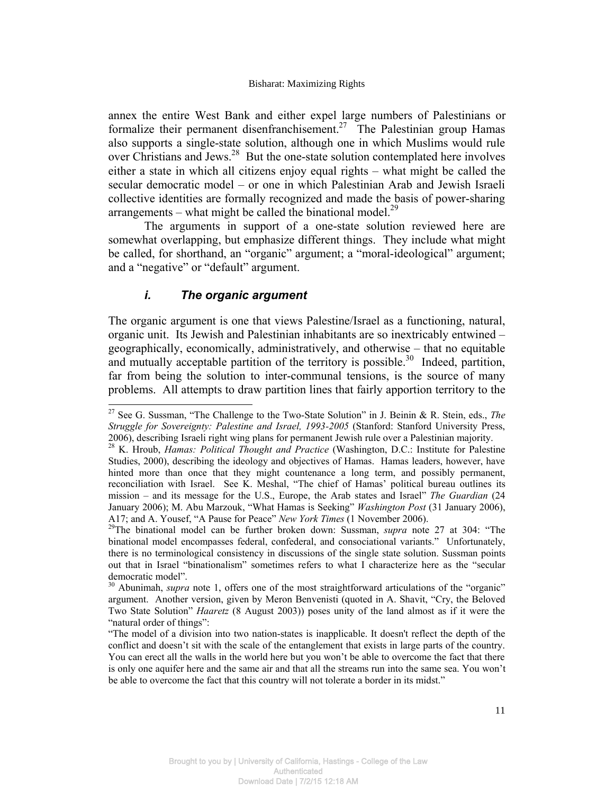annex the entire West Bank and either expel large numbers of Palestinians or formalize their permanent disenfranchisement.<sup>27</sup> The Palestinian group Hamas also supports a single-state solution, although one in which Muslims would rule over Christians and Jews.<sup>28</sup> But the one-state solution contemplated here involves either a state in which all citizens enjoy equal rights – what might be called the secular democratic model – or one in which Palestinian Arab and Jewish Israeli collective identities are formally recognized and made the basis of power-sharing arrangements – what might be called the binational model.<sup>29</sup>

The arguments in support of a one-state solution reviewed here are somewhat overlapping, but emphasize different things. They include what might be called, for shorthand, an "organic" argument; a "moral-ideological" argument; and a "negative" or "default" argument.

## *i. The organic argument*

The organic argument is one that views Palestine/Israel as a functioning, natural, organic unit. Its Jewish and Palestinian inhabitants are so inextricably entwined – geographically, economically, administratively, and otherwise – that no equitable and mutually acceptable partition of the territory is possible.<sup>30</sup> Indeed, partition, far from being the solution to inter-communal tensions, is the source of many problems. All attempts to draw partition lines that fairly apportion territory to the

<sup>&</sup>lt;sup>27</sup> See G. Sussman, "The Challenge to the Two-State Solution" in J. Beinin & R. Stein, eds., *The Struggle for Sovereignty: Palestine and Israel, 1993-2005* (Stanford: Stanford University Press, 2006), describing Israeli right wing plans for permanent Jewish rule over a Palestinian majority.

<sup>28</sup> K. Hroub, *Hamas: Political Thought and Practice* (Washington, D.C.: Institute for Palestine Studies, 2000), describing the ideology and objectives of Hamas. Hamas leaders, however, have hinted more than once that they might countenance a long term, and possibly permanent, reconciliation with Israel. See K. Meshal, "The chief of Hamas' political bureau outlines its mission – and its message for the U.S., Europe, the Arab states and Israel" *The Guardian* (24 January 2006); M. Abu Marzouk, "What Hamas is Seeking" *Washington Post* (31 January 2006), A17; and A. Yousef, "A Pause for Peace" New York Times (1 November 2006).

The binational model can be further broken down: Sussman, *supra* note 27 at 304: "The binational model encompasses federal, confederal, and consociational variants." Unfortunately, there is no terminological consistency in discussions of the single state solution. Sussman points out that in Israel "binationalism" sometimes refers to what I characterize here as the "secular democratic model".

<sup>&</sup>lt;sup>30</sup> Abunimah, *supra* note 1, offers one of the most straightforward articulations of the "organic" argument. Another version, given by Meron Benvenisti (quoted in A. Shavit, "Cry, the Beloved Two State Solution" *Haaretz* (8 August 2003)) poses unity of the land almost as if it were the "natural order of things":

<sup>&</sup>quot;The model of a division into two nation-states is inapplicable. It doesn't reflect the depth of the conflict and doesn't sit with the scale of the entanglement that exists in large parts of the country. You can erect all the walls in the world here but you won't be able to overcome the fact that there is only one aquifer here and the same air and that all the streams run into the same sea. You won't be able to overcome the fact that this country will not tolerate a border in its midst."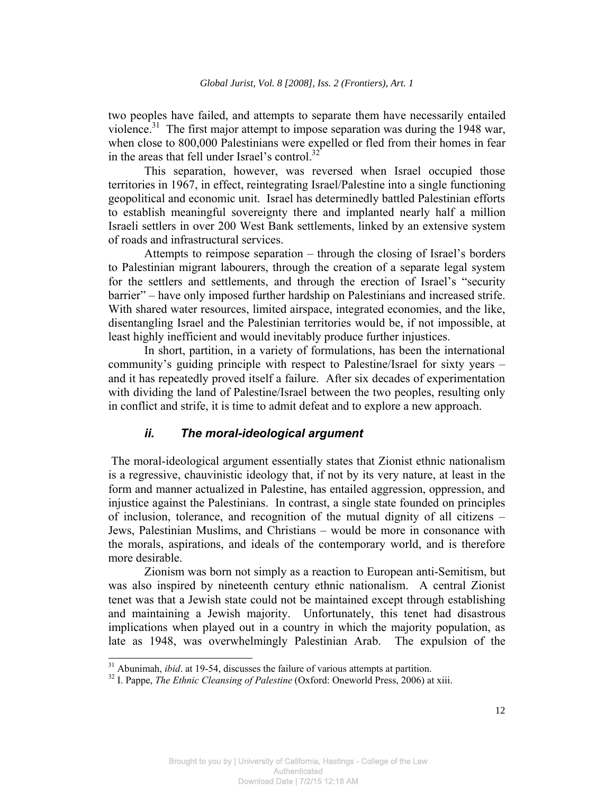two peoples have failed, and attempts to separate them have necessarily entailed violence.<sup>31</sup> The first major attempt to impose separation was during the 1948 war, when close to 800,000 Palestinians were expelled or fled from their homes in fear in the areas that fell under Israel's control.<sup>32</sup>

This separation, however, was reversed when Israel occupied those territories in 1967, in effect, reintegrating Israel/Palestine into a single functioning geopolitical and economic unit. Israel has determinedly battled Palestinian efforts to establish meaningful sovereignty there and implanted nearly half a million Israeli settlers in over 200 West Bank settlements, linked by an extensive system of roads and infrastructural services.

Attempts to reimpose separation – through the closing of Israel's borders to Palestinian migrant labourers, through the creation of a separate legal system for the settlers and settlements, and through the erection of Israel's "security barrier" – have only imposed further hardship on Palestinians and increased strife. With shared water resources, limited airspace, integrated economies, and the like, disentangling Israel and the Palestinian territories would be, if not impossible, at least highly inefficient and would inevitably produce further injustices.

In short, partition, in a variety of formulations, has been the international community's guiding principle with respect to Palestine/Israel for sixty years – and it has repeatedly proved itself a failure. After six decades of experimentation with dividing the land of Palestine/Israel between the two peoples, resulting only in conflict and strife, it is time to admit defeat and to explore a new approach.

## *ii. The moral-ideological argument*

 The moral-ideological argument essentially states that Zionist ethnic nationalism is a regressive, chauvinistic ideology that, if not by its very nature, at least in the form and manner actualized in Palestine, has entailed aggression, oppression, and injustice against the Palestinians. In contrast, a single state founded on principles of inclusion, tolerance, and recognition of the mutual dignity of all citizens – Jews, Palestinian Muslims, and Christians – would be more in consonance with the morals, aspirations, and ideals of the contemporary world, and is therefore more desirable.

Zionism was born not simply as a reaction to European anti-Semitism, but was also inspired by nineteenth century ethnic nationalism. A central Zionist tenet was that a Jewish state could not be maintained except through establishing and maintaining a Jewish majority. Unfortunately, this tenet had disastrous implications when played out in a country in which the majority population, as late as 1948, was overwhelmingly Palestinian Arab. The expulsion of the

<sup>&</sup>lt;sup>31</sup> Abunimah, *ibid.* at 19-54, discusses the failure of various attempts at partition.<br><sup>32</sup> L Banne, *The Ethnic Cleansing of Balastine* (Oxford: Openworld Brees, 2006) of

<sup>&</sup>lt;sup>32</sup> I. Pappe, *The Ethnic Cleansing of Palestine* (Oxford: Oneworld Press, 2006) at xiii.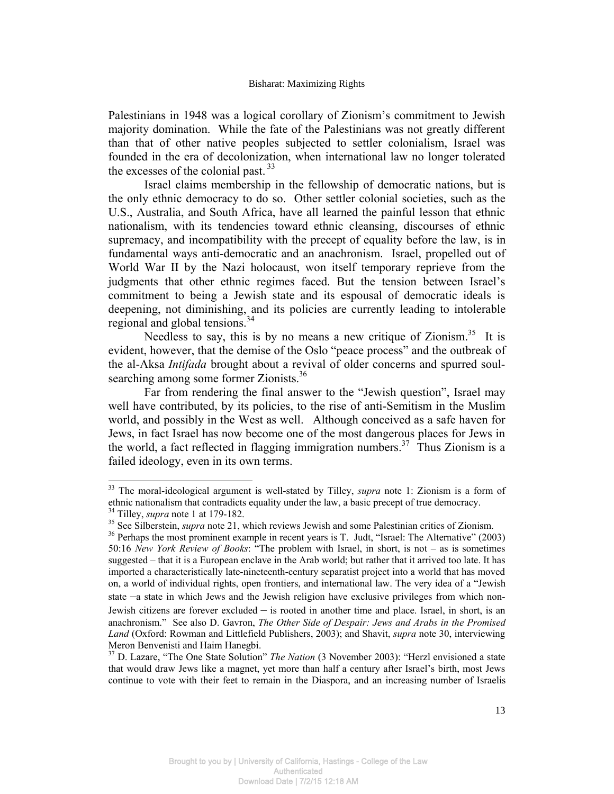Palestinians in 1948 was a logical corollary of Zionism's commitment to Jewish majority domination. While the fate of the Palestinians was not greatly different than that of other native peoples subjected to settler colonialism, Israel was founded in the era of decolonization, when international law no longer tolerated the excesses of the colonial past.  $33$ 

Israel claims membership in the fellowship of democratic nations, but is the only ethnic democracy to do so. Other settler colonial societies, such as the U.S., Australia, and South Africa, have all learned the painful lesson that ethnic nationalism, with its tendencies toward ethnic cleansing, discourses of ethnic supremacy, and incompatibility with the precept of equality before the law, is in fundamental ways anti-democratic and an anachronism. Israel, propelled out of World War II by the Nazi holocaust, won itself temporary reprieve from the judgments that other ethnic regimes faced. But the tension between Israel's commitment to being a Jewish state and its espousal of democratic ideals is deepening, not diminishing, and its policies are currently leading to intolerable regional and global tensions.34

Needless to say, this is by no means a new critique of Zionism.<sup>35</sup> It is evident, however, that the demise of the Oslo "peace process" and the outbreak of the al-Aksa *Intifada* brought about a revival of older concerns and spurred soulsearching among some former Zionists.<sup>36</sup>

Far from rendering the final answer to the "Jewish question", Israel may well have contributed, by its policies, to the rise of anti-Semitism in the Muslim world, and possibly in the West as well. Although conceived as a safe haven for Jews, in fact Israel has now become one of the most dangerous places for Jews in the world, a fact reflected in flagging immigration numbers.<sup>37</sup> Thus Zionism is a failed ideology, even in its own terms.

<sup>&</sup>lt;sup>33</sup> The moral-ideological argument is well-stated by Tilley, *supra* note 1: Zionism is a form of ethnic nationalism that contradicts equality under the law, a basic precept of true democracy.  $34$  Tilley, *supra* note 1 at 179-182.

 $^{34}$  Tilley, *supra* note 1 at 179-182.<br> $^{35}$  See Silberstein, *supra* note 21, y

<sup>&</sup>lt;sup>35</sup> See Silberstein, *supra* note 21, which reviews Jewish and some Palestinian critics of Zionism.<br><sup>36</sup> Berkens the meet prominent example in recent vector is T<sub>re</sub> Judt. "Japal: The Alternative" (200

 $36$  Perhaps the most prominent example in recent years is T. Judt, "Israel: The Alternative" (2003) 50:16 *New York Review of Books*: "The problem with Israel, in short, is not – as is sometimes suggested – that it is a European enclave in the Arab world; but rather that it arrived too late. It has imported a characteristically late-nineteenth-century separatist project into a world that has moved on, a world of individual rights, open frontiers, and international law. The very idea of a "Jewish state –a state in which Jews and the Jewish religion have exclusive privileges from which non-Jewish citizens are forever excluded – is rooted in another time and place. Israel, in short, is an anachronism." See also D. Gavron, *The Other Side of Despair: Jews and Arabs in the Promised Land* (Oxford: Rowman and Littlefield Publishers, 2003); and Shavit, *supra* note 30, interviewing Meron Benvenisti and Haim Hanegbi.

<sup>37</sup> D. Lazare, "The One State Solution" *The Nation* (3 November 2003): "Herzl envisioned a state that would draw Jews like a magnet, yet more than half a century after Israel's birth, most Jews continue to vote with their feet to remain in the Diaspora, and an increasing number of Israelis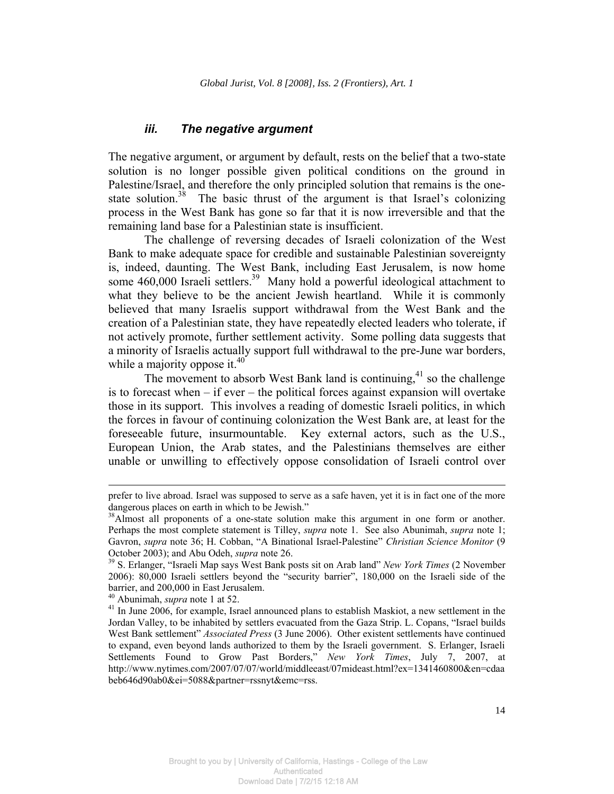## *iii. The negative argument*

The negative argument, or argument by default, rests on the belief that a two-state solution is no longer possible given political conditions on the ground in Palestine/Israel, and therefore the only principled solution that remains is the onestate solution.<sup>38</sup> The basic thrust of the argument is that Israel's colonizing process in the West Bank has gone so far that it is now irreversible and that the remaining land base for a Palestinian state is insufficient.

The challenge of reversing decades of Israeli colonization of the West Bank to make adequate space for credible and sustainable Palestinian sovereignty is, indeed, daunting. The West Bank, including East Jerusalem, is now home some  $460,000$  Israeli settlers.<sup>39</sup> Many hold a powerful ideological attachment to what they believe to be the ancient Jewish heartland. While it is commonly believed that many Israelis support withdrawal from the West Bank and the creation of a Palestinian state, they have repeatedly elected leaders who tolerate, if not actively promote, further settlement activity. Some polling data suggests that a minority of Israelis actually support full withdrawal to the pre-June war borders, while a majority oppose it. $40$ 

The movement to absorb West Bank land is continuing, $41$  so the challenge is to forecast when – if ever – the political forces against expansion will overtake those in its support. This involves a reading of domestic Israeli politics, in which the forces in favour of continuing colonization the West Bank are, at least for the foreseeable future, insurmountable. Key external actors, such as the U.S., European Union, the Arab states, and the Palestinians themselves are either unable or unwilling to effectively oppose consolidation of Israeli control over

prefer to live abroad. Israel was supposed to serve as a safe haven, yet it is in fact one of the more dangerous places on earth in which to be Jewish."

<sup>&</sup>lt;sup>38</sup>Almost all proponents of a one-state solution make this argument in one form or another. Perhaps the most complete statement is Tilley, *supra* note 1. See also Abunimah, *supra* note 1; Gavron, *supra* note 36; H. Cobban, "A Binational Israel-Palestine" *Christian Science Monitor* (9 October 2003); and Abu Odeh, *supra* note 26.

S. Erlanger, "Israeli Map says West Bank posts sit on Arab land" *New York Times* (2 November 2006): 80,000 Israeli settlers beyond the "security barrier", 180,000 on the Israeli side of the barrier, and 200,000 in East Jerusalem.

 $^{40}$  Abunimah, *supra* note 1 at 52.

 $41$  In June 2006, for example, Israel announced plans to establish Maskiot, a new settlement in the Jordan Valley, to be inhabited by settlers evacuated from the Gaza Strip. L. Copans, "Israel builds West Bank settlement" *Associated Press* (3 June 2006). Other existent settlements have continued to expand, even beyond lands authorized to them by the Israeli government. S. Erlanger, Israeli Settlements Found to Grow Past Borders," *New York Times*, July 7, 2007, at http://www.nytimes.com/2007/07/07/world/middleeast/07mideast.html?ex=1341460800&en=cdaa beb646d90ab0&ei=5088&partner=rssnyt&emc=rss.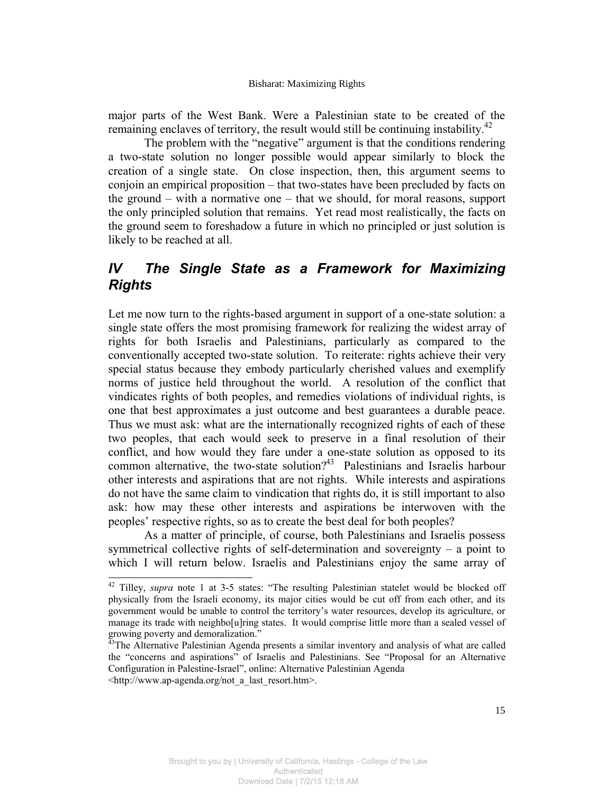major parts of the West Bank. Were a Palestinian state to be created of the remaining enclaves of territory, the result would still be continuing instability.<sup>42</sup>

The problem with the "negative" argument is that the conditions rendering a two-state solution no longer possible would appear similarly to block the creation of a single state. On close inspection, then, this argument seems to conjoin an empirical proposition – that two-states have been precluded by facts on the ground – with a normative one – that we should, for moral reasons, support the only principled solution that remains. Yet read most realistically, the facts on the ground seem to foreshadow a future in which no principled or just solution is likely to be reached at all.

# *IV The Single State as a Framework for Maximizing Rights*

Let me now turn to the rights-based argument in support of a one-state solution: a single state offers the most promising framework for realizing the widest array of rights for both Israelis and Palestinians, particularly as compared to the conventionally accepted two-state solution. To reiterate: rights achieve their very special status because they embody particularly cherished values and exemplify norms of justice held throughout the world. A resolution of the conflict that vindicates rights of both peoples, and remedies violations of individual rights, is one that best approximates a just outcome and best guarantees a durable peace. Thus we must ask: what are the internationally recognized rights of each of these two peoples, that each would seek to preserve in a final resolution of their conflict, and how would they fare under a one-state solution as opposed to its common alternative, the two-state solution?<sup>43</sup> Palestinians and Israelis harbour other interests and aspirations that are not rights. While interests and aspirations do not have the same claim to vindication that rights do, it is still important to also ask: how may these other interests and aspirations be interwoven with the peoples' respective rights, so as to create the best deal for both peoples?

As a matter of principle, of course, both Palestinians and Israelis possess symmetrical collective rights of self-determination and sovereignty – a point to which I will return below. Israelis and Palestinians enjoy the same array of

 42 Tilley, *supra* note 1 at 3-5 states: "The resulting Palestinian statelet would be blocked off physically from the Israeli economy, its major cities would be cut off from each other, and its government would be unable to control the territory's water resources, develop its agriculture, or manage its trade with neighbo[u]ring states. It would comprise little more than a sealed vessel of growing poverty and demoralization."<br><sup>43</sup>The Alternative Palestinian Agenda presents a similar inventory and analysis of what are called

the "concerns and aspirations" of Israelis and Palestinians. See "Proposal for an Alternative Configuration in Palestine-Israel", online: Alternative Palestinian Agenda

<sup>&</sup>lt;http://www.ap-agenda.org/not\_a\_last\_resort.htm>.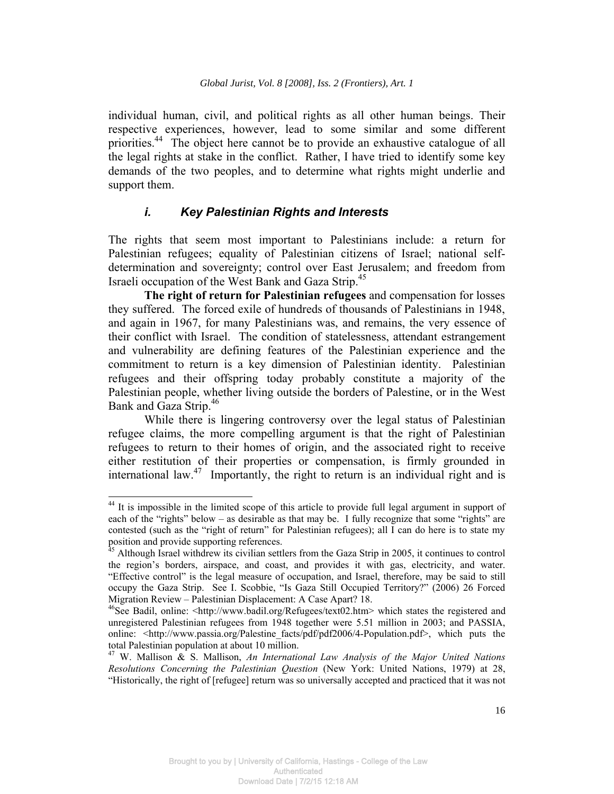individual human, civil, and political rights as all other human beings. Their respective experiences, however, lead to some similar and some different priorities.44 The object here cannot be to provide an exhaustive catalogue of all the legal rights at stake in the conflict. Rather, I have tried to identify some key demands of the two peoples, and to determine what rights might underlie and support them.

## *i. Key Palestinian Rights and Interests*

The rights that seem most important to Palestinians include: a return for Palestinian refugees; equality of Palestinian citizens of Israel; national selfdetermination and sovereignty; control over East Jerusalem; and freedom from Israeli occupation of the West Bank and Gaza Strip.45

**The right of return for Palestinian refugees** and compensation for losses they suffered. The forced exile of hundreds of thousands of Palestinians in 1948, and again in 1967, for many Palestinians was, and remains, the very essence of their conflict with Israel. The condition of statelessness, attendant estrangement and vulnerability are defining features of the Palestinian experience and the commitment to return is a key dimension of Palestinian identity. Palestinian refugees and their offspring today probably constitute a majority of the Palestinian people, whether living outside the borders of Palestine, or in the West Bank and Gaza Strip.<sup>46</sup>

While there is lingering controversy over the legal status of Palestinian refugee claims, the more compelling argument is that the right of Palestinian refugees to return to their homes of origin, and the associated right to receive either restitution of their properties or compensation, is firmly grounded in international law.<sup>47</sup> Importantly, the right to return is an individual right and is

<sup>&</sup>lt;sup>44</sup> It is impossible in the limited scope of this article to provide full legal argument in support of each of the "rights" below – as desirable as that may be. I fully recognize that some "rights" are contested (such as the "right of return" for Palestinian refugees); all I can do here is to state my position and provide supporting references.

<sup>&</sup>lt;sup>45</sup> Although Israel withdrew its civilian settlers from the Gaza Strip in 2005, it continues to control the region's borders, airspace, and coast, and provides it with gas, electricity, and water. "Effective control" is the legal measure of occupation, and Israel, therefore, may be said to still occupy the Gaza Strip. See I. Scobbie, "Is Gaza Still Occupied Territory?" (2006) 26 Forced Migration Review – Palestinian Displacement: A Case Apart? 18.

<sup>&</sup>lt;sup>46</sup>See Badil, online: <http://www.badil.org/Refugees/text02.htm> which states the registered and unregistered Palestinian refugees from 1948 together were 5.51 million in 2003; and PASSIA, online: <http://www.passia.org/Palestine facts/pdf/pdf2006/4-Population.pdf>, which puts the total Palestinian population at about 10 million.

<sup>47</sup> W. Mallison & S. Mallison, *An International Law Analysis of the Major United Nations Resolutions Concerning the Palestinian Question* (New York: United Nations, 1979) at 28, "Historically, the right of [refugee] return was so universally accepted and practiced that it was not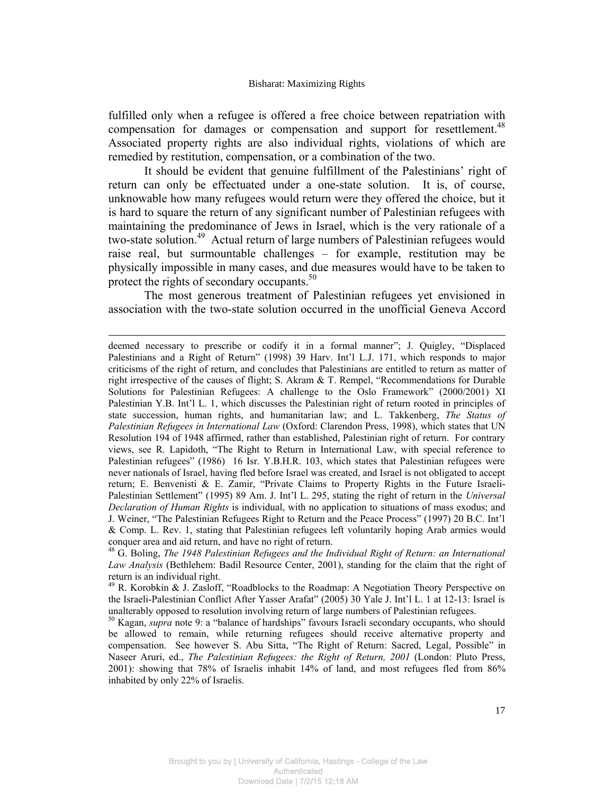fulfilled only when a refugee is offered a free choice between repatriation with compensation for damages or compensation and support for resettlement.<sup>48</sup> Associated property rights are also individual rights, violations of which are remedied by restitution, compensation, or a combination of the two.

It should be evident that genuine fulfillment of the Palestinians' right of return can only be effectuated under a one-state solution. It is, of course, unknowable how many refugees would return were they offered the choice, but it is hard to square the return of any significant number of Palestinian refugees with maintaining the predominance of Jews in Israel, which is the very rationale of a two-state solution.<sup>49</sup> Actual return of large numbers of Palestinian refugees would raise real, but surmountable challenges – for example, restitution may be physically impossible in many cases, and due measures would have to be taken to protect the rights of secondary occupants.<sup>50</sup>

The most generous treatment of Palestinian refugees yet envisioned in association with the two-state solution occurred in the unofficial Geneva Accord

deemed necessary to prescribe or codify it in a formal manner"; J. Quigley, "Displaced Palestinians and a Right of Return" (1998) 39 Harv. Int'l L.J. 171, which responds to major criticisms of the right of return, and concludes that Palestinians are entitled to return as matter of right irrespective of the causes of flight; S. Akram & T. Rempel, "Recommendations for Durable Solutions for Palestinian Refugees: A challenge to the Oslo Framework" (2000/2001) XI Palestinian Y.B. Int'l L. 1, which discusses the Palestinian right of return rooted in principles of state succession, human rights, and humanitarian law; and L. Takkenberg, *The Status of Palestinian Refugees in International Law* (Oxford: Clarendon Press, 1998), which states that UN Resolution 194 of 1948 affirmed, rather than established, Palestinian right of return. For contrary views, see R. Lapidoth, "The Right to Return in International Law, with special reference to Palestinian refugees" (1986) 16 Isr. Y.B.H.R. 103, which states that Palestinian refugees were never nationals of Israel, having fled before Israel was created, and Israel is not obligated to accept return; E. Benvenisti & E. Zamir, "Private Claims to Property Rights in the Future Israeli-Palestinian Settlement" (1995) 89 Am. J. Int'l L. 295, stating the right of return in the *Universal Declaration of Human Rights* is individual, with no application to situations of mass exodus; and J. Weiner, "The Palestinian Refugees Right to Return and the Peace Process" (1997) 20 B.C. Int'l & Comp. L. Rev. 1, stating that Palestinian refugees left voluntarily hoping Arab armies would conquer area and aid return, and have no right of return.

<sup>48</sup> G. Boling, *The 1948 Palestinian Refugees and the Individual Right of Return: an International Law Analysis* (Bethlehem: Badil Resource Center, 2001), standing for the claim that the right of return is an individual right.

<sup>&</sup>lt;sup>49</sup> R. Korobkin & J. Zasloff, "Roadblocks to the Roadmap: A Negotiation Theory Perspective on the Israeli-Palestinian Conflict After Yasser Arafat" (2005) 30 Yale J. Int'l L. 1 at 12-13: Israel is unalterably opposed to resolution involving return of large numbers of Palestinian refugees.

<sup>&</sup>lt;sup>50</sup> Kagan, *supra* note 9: a "balance of hardships" favours Israeli secondary occupants, who should be allowed to remain, while returning refugees should receive alternative property and compensation. See however S. Abu Sitta, "The Right of Return: Sacred, Legal, Possible" in Naseer Aruri, ed., *The Palestinian Refugees: the Right of Return, 2001* (London: Pluto Press, 2001): showing that 78% of Israelis inhabit 14% of land, and most refugees fled from 86% inhabited by only 22% of Israelis.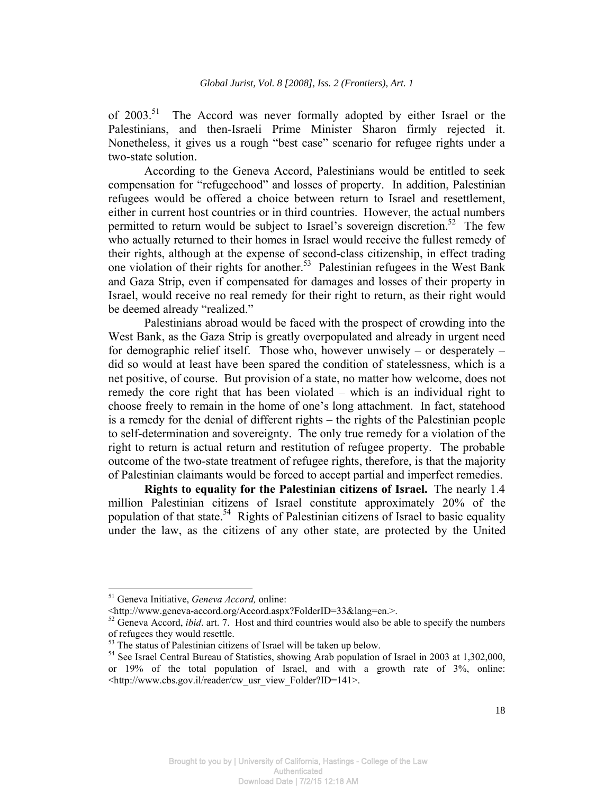of 2003.51 The Accord was never formally adopted by either Israel or the Palestinians, and then-Israeli Prime Minister Sharon firmly rejected it. Nonetheless, it gives us a rough "best case" scenario for refugee rights under a two-state solution.

According to the Geneva Accord, Palestinians would be entitled to seek compensation for "refugeehood" and losses of property. In addition, Palestinian refugees would be offered a choice between return to Israel and resettlement, either in current host countries or in third countries. However, the actual numbers permitted to return would be subject to Israel's sovereign discretion.<sup>52</sup> The few who actually returned to their homes in Israel would receive the fullest remedy of their rights, although at the expense of second-class citizenship, in effect trading one violation of their rights for another.<sup>53</sup> Palestinian refugees in the West Bank and Gaza Strip, even if compensated for damages and losses of their property in Israel, would receive no real remedy for their right to return, as their right would be deemed already "realized."

Palestinians abroad would be faced with the prospect of crowding into the West Bank, as the Gaza Strip is greatly overpopulated and already in urgent need for demographic relief itself. Those who, however unwisely – or desperately – did so would at least have been spared the condition of statelessness, which is a net positive, of course. But provision of a state, no matter how welcome, does not remedy the core right that has been violated – which is an individual right to choose freely to remain in the home of one's long attachment. In fact, statehood is a remedy for the denial of different rights – the rights of the Palestinian people to self-determination and sovereignty. The only true remedy for a violation of the right to return is actual return and restitution of refugee property. The probable outcome of the two-state treatment of refugee rights, therefore, is that the majority of Palestinian claimants would be forced to accept partial and imperfect remedies.

**Rights to equality for the Palestinian citizens of Israel.** The nearly 1.4 million Palestinian citizens of Israel constitute approximately 20% of the population of that state.<sup>54</sup> Rights of Palestinian citizens of Israel to basic equality under the law, as the citizens of any other state, are protected by the United

<sup>51</sup> Geneva Initiative, *Geneva Accord,* online:

<sup>&</sup>lt;http://www.geneva-accord.org/Accord.aspx?FolderID=33&lang=en.>.

<sup>&</sup>lt;sup>52</sup> Geneva Accord, *ibid.* art. 7. Host and third countries would also be able to specify the numbers of refugees they would resettle.

<sup>&</sup>lt;sup>53</sup> The status of Palestinian citizens of Israel will be taken up below.

<sup>&</sup>lt;sup>54</sup> See Israel Central Bureau of Statistics, showing Arab population of Israel in 2003 at 1,302,000, or 19% of the total population of Israel, and with a growth rate of 3%, online: <http://www.cbs.gov.il/reader/cw\_usr\_view\_Folder?ID=141>.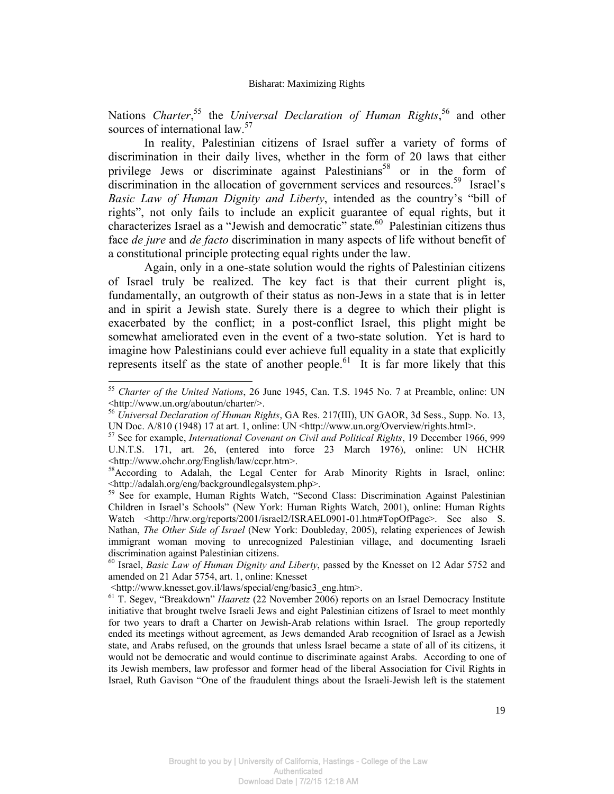Nations *Charter*<sup>55</sup> the *Universal Declaration of Human Rights*<sup>56</sup> and other sources of international law.<sup>57</sup>

In reality, Palestinian citizens of Israel suffer a variety of forms of discrimination in their daily lives, whether in the form of 20 laws that either privilege Jews or discriminate against Palestinians<sup>58</sup> or in the form of discrimination in the allocation of government services and resources.<sup>59</sup> Israel's *Basic Law of Human Dignity and Liberty*, intended as the country's "bill of rights", not only fails to include an explicit guarantee of equal rights, but it characterizes Israel as a "Jewish and democratic" state.<sup>60</sup> Palestinian citizens thus face *de jure* and *de facto* discrimination in many aspects of life without benefit of a constitutional principle protecting equal rights under the law.

Again, only in a one-state solution would the rights of Palestinian citizens of Israel truly be realized. The key fact is that their current plight is, fundamentally, an outgrowth of their status as non-Jews in a state that is in letter and in spirit a Jewish state. Surely there is a degree to which their plight is exacerbated by the conflict; in a post-conflict Israel, this plight might be somewhat ameliorated even in the event of a two-state solution. Yet is hard to imagine how Palestinians could ever achieve full equality in a state that explicitly represents itself as the state of another people.<sup>61</sup> It is far more likely that this

<sup>55</sup> *Charter of the United Nations*, 26 June 1945, Can. T.S. 1945 No. 7 at Preamble, online: UN <http://www.un.org/aboutun/charter/>.

<sup>56</sup> *Universal Declaration of Human Rights*, GA Res. 217(III), UN GAOR, 3d Sess., Supp. No. 13, UN Doc.  $A/810$  (1948) 17 at art. 1, online: UN  $\lt$ http://www.un.org/Overview/rights.html>.

<sup>57</sup> See for example, *International Covenant on Civil and Political Rights*, 19 December 1966, 999 U.N.T.S. 171, art. 26, (entered into force 23 March 1976), online: UN HCHR <http://www.ohchr.org/English/law/ccpr.htm>.

<sup>&</sup>lt;sup>58</sup> According to Adalah, the Legal Center for Arab Minority Rights in Israel, online: <http://adalah.org/eng/backgroundlegalsystem.php>.

<sup>&</sup>lt;sup>59</sup> See for example, Human Rights Watch, "Second Class: Discrimination Against Palestinian Children in Israel's Schools" (New York: Human Rights Watch, 2001), online: Human Rights Watch <http://hrw.org/reports/2001/israel2/ISRAEL0901-01.htm#TopOfPage>. See also S. Nathan, *The Other Side of Israel* (New York: Doubleday, 2005), relating experiences of Jewish immigrant woman moving to unrecognized Palestinian village, and documenting Israeli discrimination against Palestinian citizens.

<sup>60</sup> Israel, *Basic Law of Human Dignity and Liberty*, passed by the Knesset on 12 Adar 5752 and amended on 21 Adar 5754, art. 1, online: Knesset

 <sup>&</sup>lt;http://www.knesset.gov.il/laws/special/eng/basic3\_eng.htm>.

<sup>61</sup> T. Segev, "Breakdown" *Haaretz* (22 November 2006) reports on an Israel Democracy Institute initiative that brought twelve Israeli Jews and eight Palestinian citizens of Israel to meet monthly for two years to draft a Charter on Jewish-Arab relations within Israel. The group reportedly ended its meetings without agreement, as Jews demanded Arab recognition of Israel as a Jewish state, and Arabs refused, on the grounds that unless Israel became a state of all of its citizens, it would not be democratic and would continue to discriminate against Arabs. According to one of its Jewish members, law professor and former head of the liberal Association for Civil Rights in Israel, Ruth Gavison "One of the fraudulent things about the Israeli-Jewish left is the statement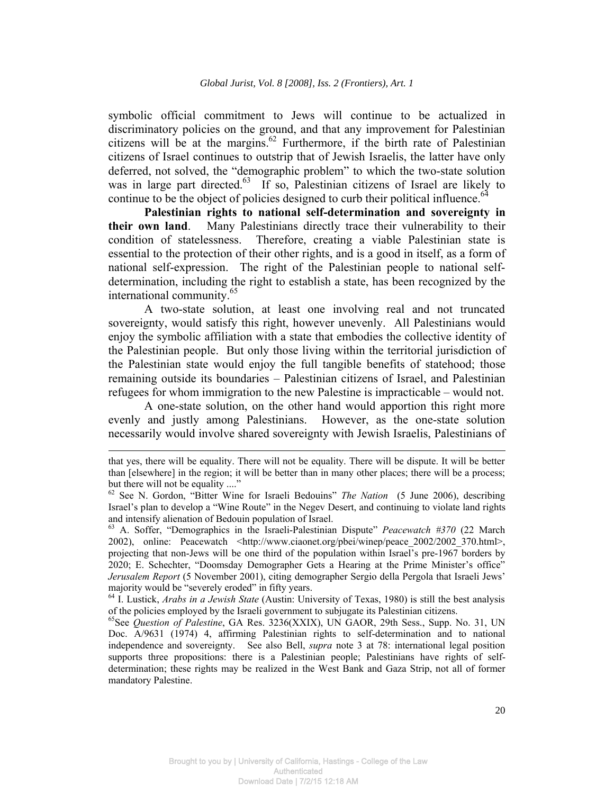symbolic official commitment to Jews will continue to be actualized in discriminatory policies on the ground, and that any improvement for Palestinian citizens will be at the margins. $62$  Furthermore, if the birth rate of Palestinian citizens of Israel continues to outstrip that of Jewish Israelis, the latter have only deferred, not solved, the "demographic problem" to which the two-state solution was in large part directed.<sup>63</sup> If so, Palestinian citizens of Israel are likely to continue to be the object of policies designed to curb their political influence.<sup>64</sup>

**Palestinian rights to national self-determination and sovereignty in their own land**. Many Palestinians directly trace their vulnerability to their condition of statelessness. Therefore, creating a viable Palestinian state is essential to the protection of their other rights, and is a good in itself, as a form of national self-expression. The right of the Palestinian people to national selfdetermination, including the right to establish a state, has been recognized by the international community.<sup>65</sup>

A two-state solution, at least one involving real and not truncated sovereignty, would satisfy this right, however unevenly. All Palestinians would enjoy the symbolic affiliation with a state that embodies the collective identity of the Palestinian people. But only those living within the territorial jurisdiction of the Palestinian state would enjoy the full tangible benefits of statehood; those remaining outside its boundaries – Palestinian citizens of Israel, and Palestinian refugees for whom immigration to the new Palestine is impracticable – would not.

A one-state solution, on the other hand would apportion this right more evenly and justly among Palestinians. However, as the one-state solution necessarily would involve shared sovereignty with Jewish Israelis, Palestinians of

that yes, there will be equality. There will not be equality. There will be dispute. It will be better than [elsewhere] in the region; it will be better than in many other places; there will be a process; but there will not be equality ...."

<sup>62</sup> See N. Gordon, "Bitter Wine for Israeli Bedouins" *The Nation* (5 June 2006), describing Israel's plan to develop a "Wine Route" in the Negev Desert, and continuing to violate land rights and intensify alienation of Bedouin population of Israel.

<sup>63</sup> A. Soffer, "Demographics in the Israeli-Palestinian Dispute" *Peacewatch #370* (22 March 2002), online: Peacewatch <http://www.ciaonet.org/pbei/winep/peace 2002/2002 370.html>, projecting that non-Jews will be one third of the population within Israel's pre-1967 borders by 2020; E. Schechter, "Doomsday Demographer Gets a Hearing at the Prime Minister's office" *Jerusalem Report* (5 November 2001), citing demographer Sergio della Pergola that Israeli Jews' majority would be "severely eroded" in fifty years.

<sup>64</sup> I. Lustick, *Arabs in a Jewish State* (Austin: University of Texas, 1980) is still the best analysis of the policies employed by the Israeli government to subjugate its Palestinian citizens.

<sup>&</sup>lt;sup>65</sup>See *Question of Palestine*, GA Res. 3236(XXIX), UN GAOR, 29th Sess., Supp. No. 31, UN Doc. A/9631 (1974) 4, affirming Palestinian rights to self-determination and to national independence and sovereignty. See also Bell, *supra* note 3 at 78: international legal position supports three propositions: there is a Palestinian people; Palestinians have rights of selfdetermination; these rights may be realized in the West Bank and Gaza Strip, not all of former mandatory Palestine.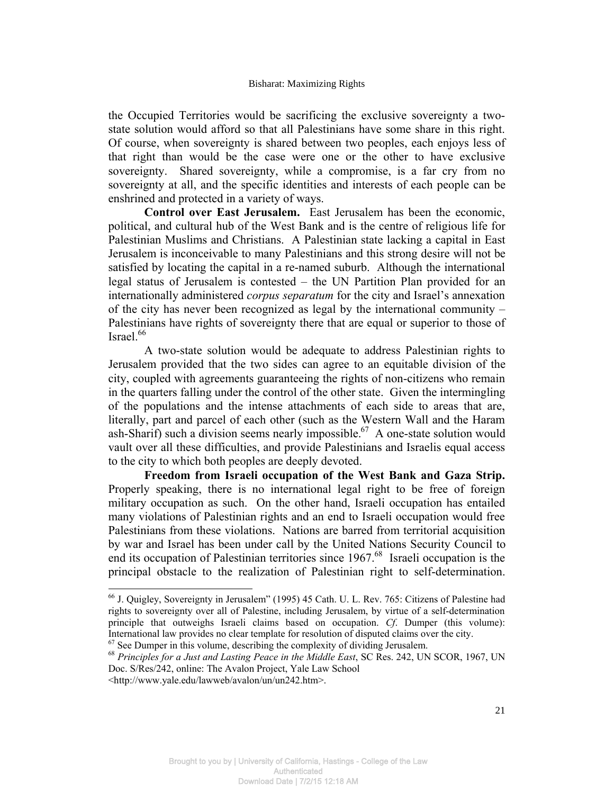the Occupied Territories would be sacrificing the exclusive sovereignty a twostate solution would afford so that all Palestinians have some share in this right. Of course, when sovereignty is shared between two peoples, each enjoys less of that right than would be the case were one or the other to have exclusive sovereignty. Shared sovereignty, while a compromise, is a far cry from no sovereignty at all, and the specific identities and interests of each people can be enshrined and protected in a variety of ways.

**Control over East Jerusalem.** East Jerusalem has been the economic, political, and cultural hub of the West Bank and is the centre of religious life for Palestinian Muslims and Christians. A Palestinian state lacking a capital in East Jerusalem is inconceivable to many Palestinians and this strong desire will not be satisfied by locating the capital in a re-named suburb. Although the international legal status of Jerusalem is contested – the UN Partition Plan provided for an internationally administered *corpus separatum* for the city and Israel's annexation of the city has never been recognized as legal by the international community – Palestinians have rights of sovereignty there that are equal or superior to those of Israel $66$ 

A two-state solution would be adequate to address Palestinian rights to Jerusalem provided that the two sides can agree to an equitable division of the city, coupled with agreements guaranteeing the rights of non-citizens who remain in the quarters falling under the control of the other state. Given the intermingling of the populations and the intense attachments of each side to areas that are, literally, part and parcel of each other (such as the Western Wall and the Haram ash-Sharif) such a division seems nearly impossible.<sup>67</sup> A one-state solution would vault over all these difficulties, and provide Palestinians and Israelis equal access to the city to which both peoples are deeply devoted.

**Freedom from Israeli occupation of the West Bank and Gaza Strip.** Properly speaking, there is no international legal right to be free of foreign military occupation as such. On the other hand, Israeli occupation has entailed many violations of Palestinian rights and an end to Israeli occupation would free Palestinians from these violations. Nations are barred from territorial acquisition by war and Israel has been under call by the United Nations Security Council to end its occupation of Palestinian territories since 1967.<sup>68</sup> Israeli occupation is the principal obstacle to the realization of Palestinian right to self-determination.

<sup>&</sup>lt;sup>66</sup> J. Quigley, Sovereignty in Jerusalem" (1995) 45 Cath. U. L. Rev. 765: Citizens of Palestine had rights to sovereignty over all of Palestine, including Jerusalem, by virtue of a self-determination principle that outweighs Israeli claims based on occupation. *Cf*. Dumper (this volume): International law provides no clear template for resolution of disputed claims over the city.

<sup>&</sup>lt;sup>67</sup> See Dumper in this volume, describing the complexity of dividing Jerusalem.

<sup>68</sup> *Principles for a Just and Lasting Peace in the Middle East*, SC Res. 242, UN SCOR, 1967, UN Doc. S/Res/242, online: The Avalon Project, Yale Law School

<sup>&</sup>lt;http://www.yale.edu/lawweb/avalon/un/un242.htm>.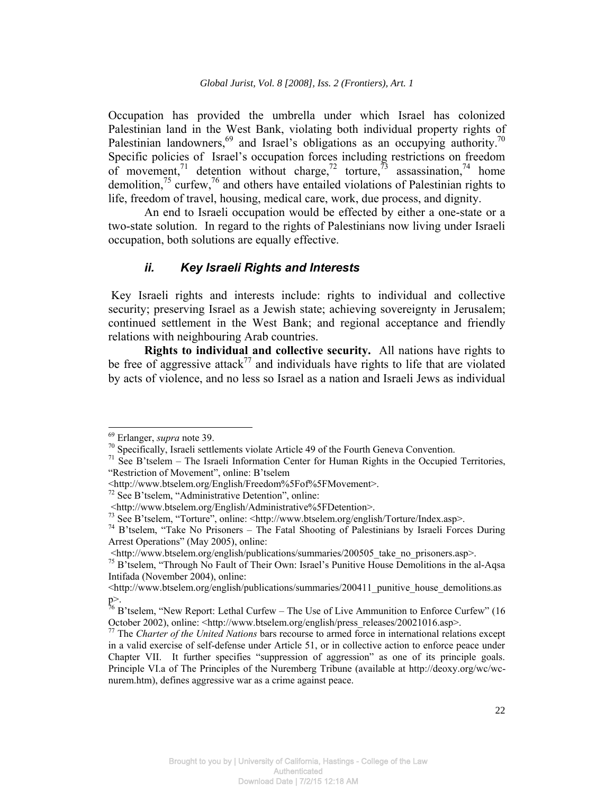Occupation has provided the umbrella under which Israel has colonized Palestinian land in the West Bank, violating both individual property rights of Palestinian landowners,<sup>69</sup> and Israel's obligations as an occupying authority.<sup>70</sup> Specific policies of Israel's occupation forces including restrictions on freedom of movement,<sup>71</sup> detention without charge,<sup>72</sup> torture,<sup>73</sup> assassination,<sup>74</sup> home demolition,75 curfew,76 and others have entailed violations of Palestinian rights to life, freedom of travel, housing, medical care, work, due process, and dignity.

An end to Israeli occupation would be effected by either a one-state or a two-state solution. In regard to the rights of Palestinians now living under Israeli occupation, both solutions are equally effective.

## *ii. Key Israeli Rights and Interests*

Key Israeli rights and interests include: rights to individual and collective security; preserving Israel as a Jewish state; achieving sovereignty in Jerusalem; continued settlement in the West Bank; and regional acceptance and friendly relations with neighbouring Arab countries.

**Rights to individual and collective security.** All nations have rights to be free of aggressive attack<sup>77</sup> and individuals have rights to life that are violated by acts of violence, and no less so Israel as a nation and Israeli Jews as individual

<sup>&</sup>lt;sup>69</sup> Erlanger, *supra* note 39.<br><sup>70</sup> Specifically Israeli settle

 $\frac{70}{10}$  Specifically, Israeli settlements violate Article 49 of the Fourth Geneva Convention.

 $71$  See B'tselem – The Israeli Information Center for Human Rights in the Occupied Territories, "Restriction of Movement", online: B'tselem

<sup>&</sup>lt;http://www.btselem.org/English/Freedom%5Fof%5FMovement>.

<sup>72</sup> See B'tselem, "Administrative Detention", online:

 <sup>&</sup>lt;http://www.btselem.org/English/Administrative%5FDetention>.

<sup>&</sup>lt;sup>73</sup> See B'tselem, "Torture", online: <http://www.btselem.org/english/Torture/Index.asp>.

<sup>&</sup>lt;sup>74</sup> B'tselem, "Take No Prisoners – The Fatal Shooting of Palestinians by Israeli Forces During Arrest Operations" (May 2005), online:

 <sup>&</sup>lt;http://www.btselem.org/english/publications/summaries/200505\_take\_no\_prisoners.asp>.

<sup>&</sup>lt;sup>75</sup> B'tselem, "Through No Fault of Their Own: Israel's Punitive House Demolitions in the al-Aqsa Intifada (November 2004), online:

 $\langle$ http://www.btselem.org/english/publications/summaries/200411 punitive house demolitions.as p>.<br><sup>76</sup> B'tselem, "New Report: Lethal Curfew – The Use of Live Ammunition to Enforce Curfew" (16

October 2002), online: <http://www.btselem.org/english/press\_releases/20021016.asp>.

<sup>77</sup> The *Charter of the United Nations* bars recourse to armed force in international relations except in a valid exercise of self-defense under Article 51, or in collective action to enforce peace under Chapter VII. It further specifies "suppression of aggression" as one of its principle goals. Principle VI.a of The Principles of the Nuremberg Tribune (available at http://deoxy.org/wc/wcnurem.htm), defines aggressive war as a crime against peace.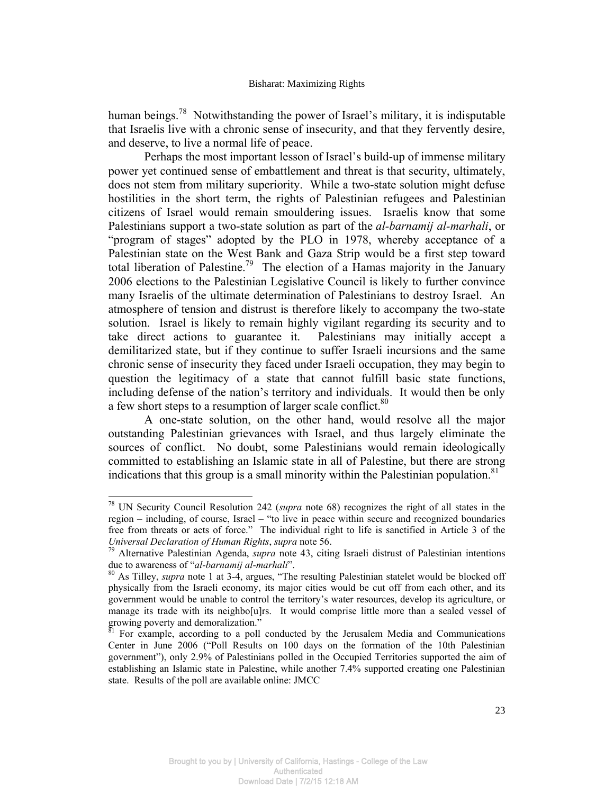human beings.<sup>78</sup> Notwithstanding the power of Israel's military, it is indisputable that Israelis live with a chronic sense of insecurity, and that they fervently desire, and deserve, to live a normal life of peace.

Perhaps the most important lesson of Israel's build-up of immense military power yet continued sense of embattlement and threat is that security, ultimately, does not stem from military superiority. While a two-state solution might defuse hostilities in the short term, the rights of Palestinian refugees and Palestinian citizens of Israel would remain smouldering issues. Israelis know that some Palestinians support a two-state solution as part of the *al-barnamij al-marhali*, or "program of stages" adopted by the PLO in 1978, whereby acceptance of a Palestinian state on the West Bank and Gaza Strip would be a first step toward total liberation of Palestine.<sup>79</sup> The election of a Hamas majority in the January 2006 elections to the Palestinian Legislative Council is likely to further convince many Israelis of the ultimate determination of Palestinians to destroy Israel. An atmosphere of tension and distrust is therefore likely to accompany the two-state solution. Israel is likely to remain highly vigilant regarding its security and to take direct actions to guarantee it. Palestinians may initially accept a demilitarized state, but if they continue to suffer Israeli incursions and the same chronic sense of insecurity they faced under Israeli occupation, they may begin to question the legitimacy of a state that cannot fulfill basic state functions, including defense of the nation's territory and individuals. It would then be only a few short steps to a resumption of larger scale conflict.<sup>80</sup>

A one-state solution, on the other hand, would resolve all the major outstanding Palestinian grievances with Israel, and thus largely eliminate the sources of conflict. No doubt, some Palestinians would remain ideologically committed to establishing an Islamic state in all of Palestine, but there are strong indications that this group is a small minority within the Palestinian population. $81$ 

<sup>78</sup> UN Security Council Resolution 242 (*supra* note 68) recognizes the right of all states in the region – including, of course, Israel – "to live in peace within secure and recognized boundaries free from threats or acts of force." The individual right to life is sanctified in Article 3 of the *Universal Declaration of Human Rights, supra note 56.* 

Alternative Palestinian Agenda, *supra* note 43, citing Israeli distrust of Palestinian intentions due to awareness of "*al-barnamij al-marhali*".

As Tilley, *supra* note 1 at 3-4, argues, "The resulting Palestinian statelet would be blocked off physically from the Israeli economy, its major cities would be cut off from each other, and its government would be unable to control the territory's water resources, develop its agriculture, or manage its trade with its neighbo[u]rs. It would comprise little more than a sealed vessel of growing poverty and demoralization."

 $81$  For example, according to a poll conducted by the Jerusalem Media and Communications Center in June 2006 ("Poll Results on 100 days on the formation of the 10th Palestinian government"), only 2.9% of Palestinians polled in the Occupied Territories supported the aim of establishing an Islamic state in Palestine, while another 7.4% supported creating one Palestinian state. Results of the poll are available online: JMCC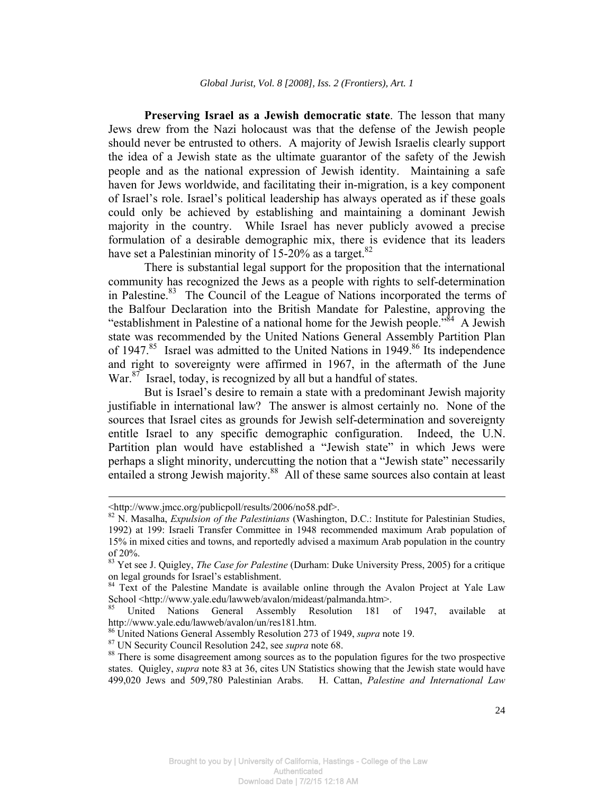**Preserving Israel as a Jewish democratic state**. The lesson that many Jews drew from the Nazi holocaust was that the defense of the Jewish people should never be entrusted to others. A majority of Jewish Israelis clearly support the idea of a Jewish state as the ultimate guarantor of the safety of the Jewish people and as the national expression of Jewish identity. Maintaining a safe haven for Jews worldwide, and facilitating their in-migration, is a key component of Israel's role. Israel's political leadership has always operated as if these goals could only be achieved by establishing and maintaining a dominant Jewish majority in the country. While Israel has never publicly avowed a precise formulation of a desirable demographic mix, there is evidence that its leaders have set a Palestinian minority of 15-20% as a target.<sup>82</sup>

There is substantial legal support for the proposition that the international community has recognized the Jews as a people with rights to self-determination in Palestine.<sup>83</sup> The Council of the League of Nations incorporated the terms of the Balfour Declaration into the British Mandate for Palestine, approving the "establishment in Palestine of a national home for the Jewish people.<sup> $584$ </sup> A Jewish state was recommended by the United Nations General Assembly Partition Plan of 1947.<sup>85</sup> Israel was admitted to the United Nations in 1949.<sup>86</sup> Its independence and right to sovereignty were affirmed in 1967, in the aftermath of the June  $War.87$  Israel, today, is recognized by all but a handful of states.

But is Israel's desire to remain a state with a predominant Jewish majority justifiable in international law? The answer is almost certainly no. None of the sources that Israel cites as grounds for Jewish self-determination and sovereignty entitle Israel to any specific demographic configuration. Indeed, the U.N. Partition plan would have established a "Jewish state" in which Jews were perhaps a slight minority, undercutting the notion that a "Jewish state" necessarily entailed a strong Jewish majority.<sup>88</sup> All of these same sources also contain at least

<sup>&</sup>lt;http://www.jmcc.org/publicpoll/results/2006/no58.pdf>.

<sup>82</sup> N. Masalha, *Expulsion of the Palestinians* (Washington, D.C.: Institute for Palestinian Studies, 1992) at 199: Israeli Transfer Committee in 1948 recommended maximum Arab population of 15% in mixed cities and towns, and reportedly advised a maximum Arab population in the country of 20%.

<sup>83</sup> Yet see J. Quigley, *The Case for Palestine* (Durham: Duke University Press, 2005) for a critique on legal grounds for Israel's establishment.

<sup>&</sup>lt;sup>84</sup> Text of the Palestine Mandate is available online through the Avalon Project at Yale Law School <http://www.yale.edu/lawweb/avalon/mideast/palmanda.htm>.

<sup>85</sup> United Nations General Assembly Resolution 181 of 1947, available at http://www.yale.edu/lawweb/avalon/un/res181.htm.

<sup>&</sup>lt;sup>86</sup> United Nations General Assembly Resolution 273 of 1949, *supra* note 19.<br><sup>87</sup> UN Sequrity Council Resolution 242, ass gungs pate 68.

<sup>&</sup>lt;sup>87</sup> UN Security Council Resolution 242, see *supra* note 68.

<sup>&</sup>lt;sup>88</sup> There is some disagreement among sources as to the population figures for the two prospective states. Quigley, *supra* note 83 at 36, cites UN Statistics showing that the Jewish state would have 499,020 Jews and 509,780 Palestinian Arabs. H. Cattan, *Palestine and International Law*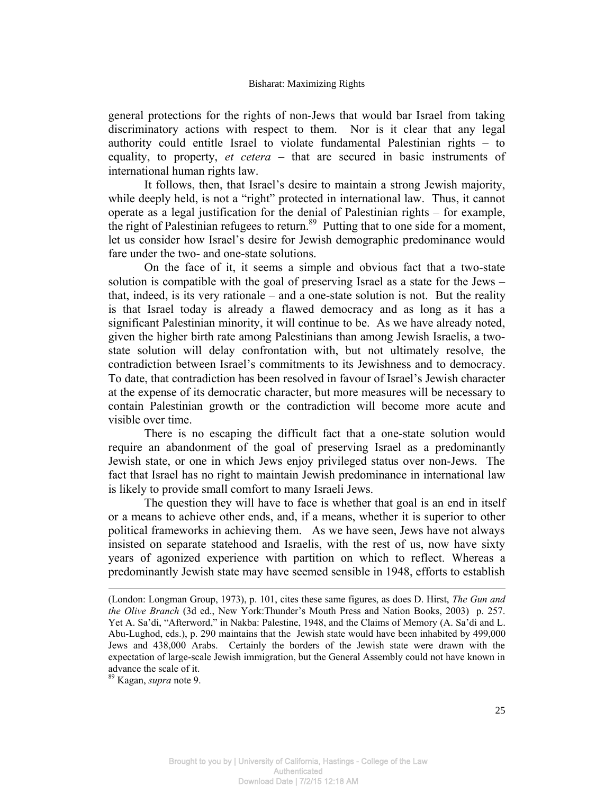general protections for the rights of non-Jews that would bar Israel from taking discriminatory actions with respect to them. Nor is it clear that any legal authority could entitle Israel to violate fundamental Palestinian rights – to equality, to property, *et cetera* – that are secured in basic instruments of international human rights law.

It follows, then, that Israel's desire to maintain a strong Jewish majority, while deeply held, is not a "right" protected in international law. Thus, it cannot operate as a legal justification for the denial of Palestinian rights – for example, the right of Palestinian refugees to return.<sup>89</sup> Putting that to one side for a moment, let us consider how Israel's desire for Jewish demographic predominance would fare under the two- and one-state solutions.

On the face of it, it seems a simple and obvious fact that a two-state solution is compatible with the goal of preserving Israel as a state for the Jews – that, indeed, is its very rationale – and a one-state solution is not. But the reality is that Israel today is already a flawed democracy and as long as it has a significant Palestinian minority, it will continue to be. As we have already noted, given the higher birth rate among Palestinians than among Jewish Israelis, a twostate solution will delay confrontation with, but not ultimately resolve, the contradiction between Israel's commitments to its Jewishness and to democracy. To date, that contradiction has been resolved in favour of Israel's Jewish character at the expense of its democratic character, but more measures will be necessary to contain Palestinian growth or the contradiction will become more acute and visible over time.

There is no escaping the difficult fact that a one-state solution would require an abandonment of the goal of preserving Israel as a predominantly Jewish state, or one in which Jews enjoy privileged status over non-Jews. The fact that Israel has no right to maintain Jewish predominance in international law is likely to provide small comfort to many Israeli Jews.

The question they will have to face is whether that goal is an end in itself or a means to achieve other ends, and, if a means, whether it is superior to other political frameworks in achieving them. As we have seen, Jews have not always insisted on separate statehood and Israelis, with the rest of us, now have sixty years of agonized experience with partition on which to reflect. Whereas a predominantly Jewish state may have seemed sensible in 1948, efforts to establish

<sup>(</sup>London: Longman Group, 1973), p. 101, cites these same figures, as does D. Hirst, *The Gun and the Olive Branch* (3d ed., New York:Thunder's Mouth Press and Nation Books, 2003) p. 257. Yet A. Sa'di, "Afterword," in Nakba: Palestine, 1948, and the Claims of Memory (A. Sa'di and L. Abu-Lughod, eds.), p. 290 maintains that the Jewish state would have been inhabited by 499,000 Jews and 438,000 Arabs. Certainly the borders of the Jewish state were drawn with the expectation of large-scale Jewish immigration, but the General Assembly could not have known in advance the scale of it.

<sup>89</sup> Kagan, *supra* note 9.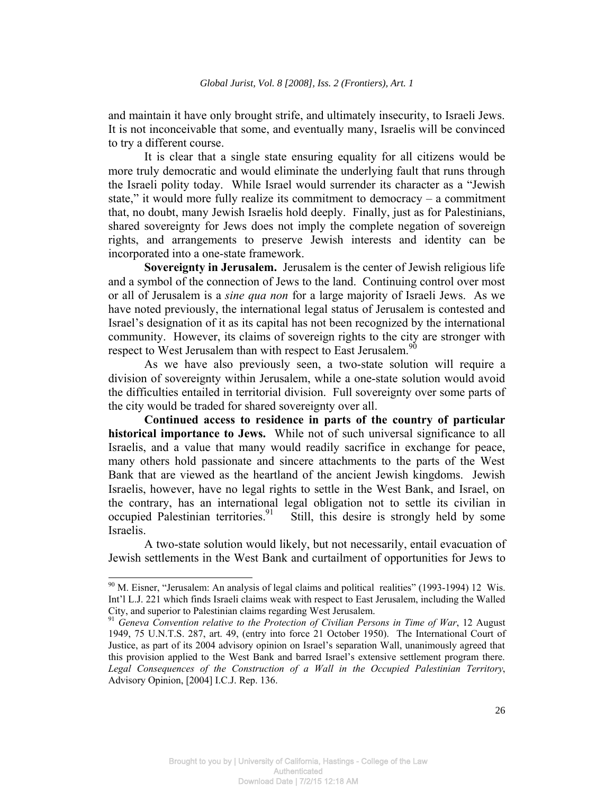and maintain it have only brought strife, and ultimately insecurity, to Israeli Jews. It is not inconceivable that some, and eventually many, Israelis will be convinced to try a different course.

It is clear that a single state ensuring equality for all citizens would be more truly democratic and would eliminate the underlying fault that runs through the Israeli polity today. While Israel would surrender its character as a "Jewish state," it would more fully realize its commitment to democracy  $-$  a commitment that, no doubt, many Jewish Israelis hold deeply. Finally, just as for Palestinians, shared sovereignty for Jews does not imply the complete negation of sovereign rights, and arrangements to preserve Jewish interests and identity can be incorporated into a one-state framework.

**Sovereignty in Jerusalem.** Jerusalem is the center of Jewish religious life and a symbol of the connection of Jews to the land. Continuing control over most or all of Jerusalem is a *sine qua non* for a large majority of Israeli Jews. As we have noted previously, the international legal status of Jerusalem is contested and Israel's designation of it as its capital has not been recognized by the international community. However, its claims of sovereign rights to the city are stronger with respect to West Jerusalem than with respect to East Jerusalem.<sup>90</sup>

As we have also previously seen, a two-state solution will require a division of sovereignty within Jerusalem, while a one-state solution would avoid the difficulties entailed in territorial division. Full sovereignty over some parts of the city would be traded for shared sovereignty over all.

**Continued access to residence in parts of the country of particular historical importance to Jews.** While not of such universal significance to all Israelis, and a value that many would readily sacrifice in exchange for peace, many others hold passionate and sincere attachments to the parts of the West Bank that are viewed as the heartland of the ancient Jewish kingdoms. Jewish Israelis, however, have no legal rights to settle in the West Bank, and Israel, on the contrary, has an international legal obligation not to settle its civilian in occupied Palestinian territories.<sup>91</sup> Still, this desire is strongly held by some Israelis.

A two-state solution would likely, but not necessarily, entail evacuation of Jewish settlements in the West Bank and curtailment of opportunities for Jews to

 $90$  M. Eisner, "Jerusalem: An analysis of legal claims and political realities" (1993-1994) 12 Wis. Int'l L.J. 221 which finds Israeli claims weak with respect to East Jerusalem, including the Walled City, and superior to Palestinian claims regarding West Jerusalem.

<sup>&</sup>lt;sup>91</sup> Geneva Convention relative to the Protection of Civilian Persons in Time of War, 12 August 1949, 75 U.N.T.S. 287, art. 49, (entry into force 21 October 1950). The International Court of Justice, as part of its 2004 advisory opinion on Israel's separation Wall, unanimously agreed that this provision applied to the West Bank and barred Israel's extensive settlement program there. *Legal Consequences of the Construction of a Wall in the Occupied Palestinian Territory*, Advisory Opinion, [2004] I.C.J. Rep. 136.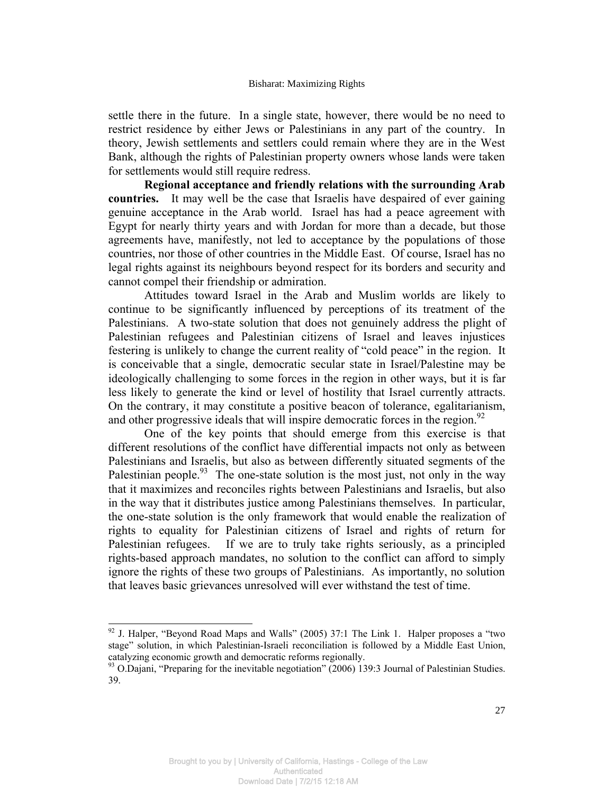settle there in the future. In a single state, however, there would be no need to restrict residence by either Jews or Palestinians in any part of the country. In theory, Jewish settlements and settlers could remain where they are in the West Bank, although the rights of Palestinian property owners whose lands were taken for settlements would still require redress.

**Regional acceptance and friendly relations with the surrounding Arab countries.** It may well be the case that Israelis have despaired of ever gaining genuine acceptance in the Arab world. Israel has had a peace agreement with Egypt for nearly thirty years and with Jordan for more than a decade, but those agreements have, manifestly, not led to acceptance by the populations of those countries, nor those of other countries in the Middle East. Of course, Israel has no legal rights against its neighbours beyond respect for its borders and security and cannot compel their friendship or admiration.

Attitudes toward Israel in the Arab and Muslim worlds are likely to continue to be significantly influenced by perceptions of its treatment of the Palestinians. A two-state solution that does not genuinely address the plight of Palestinian refugees and Palestinian citizens of Israel and leaves injustices festering is unlikely to change the current reality of "cold peace" in the region. It is conceivable that a single, democratic secular state in Israel/Palestine may be ideologically challenging to some forces in the region in other ways, but it is far less likely to generate the kind or level of hostility that Israel currently attracts. On the contrary, it may constitute a positive beacon of tolerance, egalitarianism, and other progressive ideals that will inspire democratic forces in the region.<sup>92</sup>

One of the key points that should emerge from this exercise is that different resolutions of the conflict have differential impacts not only as between Palestinians and Israelis, but also as between differently situated segments of the Palestinian people. $93$  The one-state solution is the most just, not only in the way that it maximizes and reconciles rights between Palestinians and Israelis, but also in the way that it distributes justice among Palestinians themselves. In particular, the one-state solution is the only framework that would enable the realization of rights to equality for Palestinian citizens of Israel and rights of return for Palestinian refugees. If we are to truly take rights seriously, as a principled rights-based approach mandates, no solution to the conflict can afford to simply ignore the rights of these two groups of Palestinians. As importantly, no solution that leaves basic grievances unresolved will ever withstand the test of time.

 $92$  J. Halper, "Beyond Road Maps and Walls" (2005) 37:1 The Link 1. Halper proposes a "two stage" solution, in which Palestinian-Israeli reconciliation is followed by a Middle East Union, catalyzing economic growth and democratic reforms regionally.

<sup>&</sup>lt;sup>93</sup> O.Dajani, "Preparing for the inevitable negotiation" (2006) 139:3 Journal of Palestinian Studies. 39.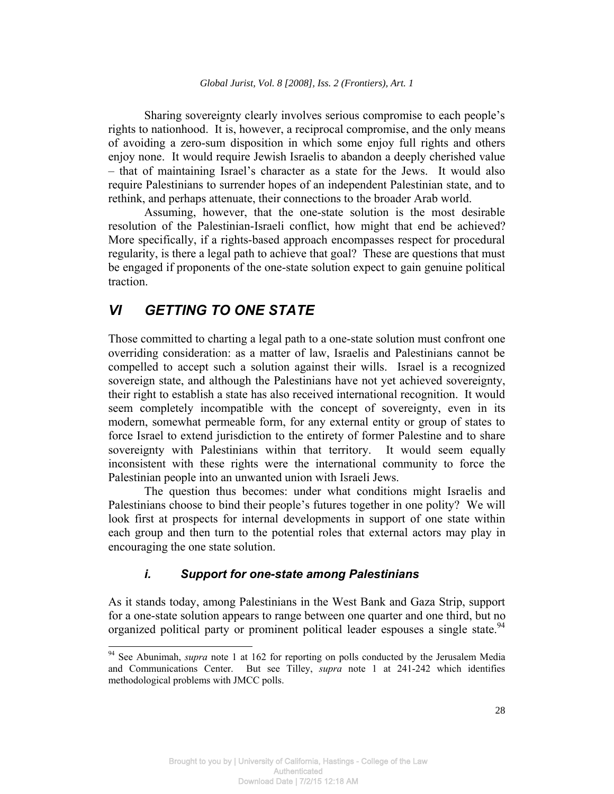Sharing sovereignty clearly involves serious compromise to each people's rights to nationhood. It is, however, a reciprocal compromise, and the only means of avoiding a zero-sum disposition in which some enjoy full rights and others enjoy none. It would require Jewish Israelis to abandon a deeply cherished value – that of maintaining Israel's character as a state for the Jews. It would also require Palestinians to surrender hopes of an independent Palestinian state, and to rethink, and perhaps attenuate, their connections to the broader Arab world.

Assuming, however, that the one-state solution is the most desirable resolution of the Palestinian-Israeli conflict, how might that end be achieved? More specifically, if a rights-based approach encompasses respect for procedural regularity, is there a legal path to achieve that goal? These are questions that must be engaged if proponents of the one-state solution expect to gain genuine political traction.

## *VI GETTING TO ONE STATE*

Those committed to charting a legal path to a one-state solution must confront one overriding consideration: as a matter of law, Israelis and Palestinians cannot be compelled to accept such a solution against their wills. Israel is a recognized sovereign state, and although the Palestinians have not yet achieved sovereignty, their right to establish a state has also received international recognition. It would seem completely incompatible with the concept of sovereignty, even in its modern, somewhat permeable form, for any external entity or group of states to force Israel to extend jurisdiction to the entirety of former Palestine and to share sovereignty with Palestinians within that territory. It would seem equally inconsistent with these rights were the international community to force the Palestinian people into an unwanted union with Israeli Jews.

The question thus becomes: under what conditions might Israelis and Palestinians choose to bind their people's futures together in one polity? We will look first at prospects for internal developments in support of one state within each group and then turn to the potential roles that external actors may play in encouraging the one state solution.

## *i. Support for one-state among Palestinians*

As it stands today, among Palestinians in the West Bank and Gaza Strip, support for a one-state solution appears to range between one quarter and one third, but no organized political party or prominent political leader espouses a single state.<sup>94</sup>

 94 See Abunimah, *supra* note 1 at 162 for reporting on polls conducted by the Jerusalem Media and Communications Center. But see Tilley, *supra* note 1 at 241-242 which identifies methodological problems with JMCC polls.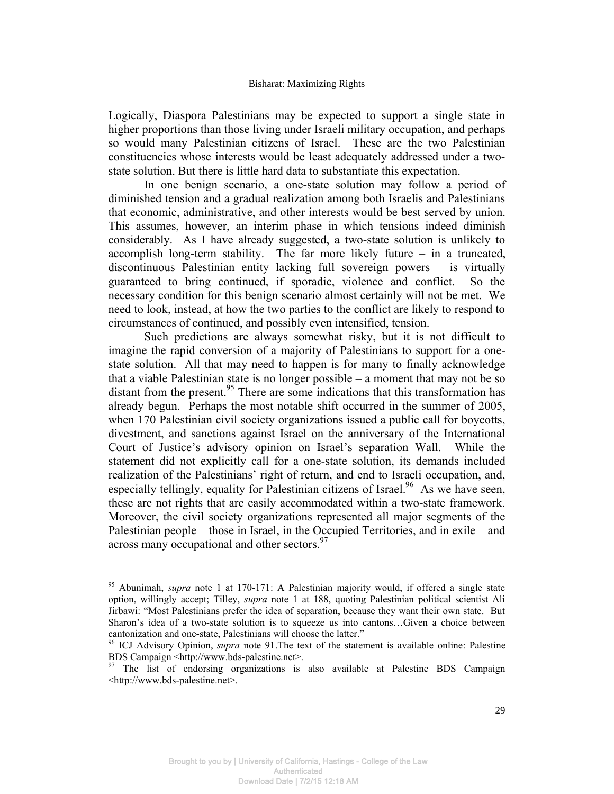Logically, Diaspora Palestinians may be expected to support a single state in higher proportions than those living under Israeli military occupation, and perhaps so would many Palestinian citizens of Israel. These are the two Palestinian constituencies whose interests would be least adequately addressed under a twostate solution. But there is little hard data to substantiate this expectation.

In one benign scenario, a one-state solution may follow a period of diminished tension and a gradual realization among both Israelis and Palestinians that economic, administrative, and other interests would be best served by union. This assumes, however, an interim phase in which tensions indeed diminish considerably. As I have already suggested, a two-state solution is unlikely to accomplish long-term stability. The far more likely future – in a truncated, discontinuous Palestinian entity lacking full sovereign powers – is virtually guaranteed to bring continued, if sporadic, violence and conflict. So the necessary condition for this benign scenario almost certainly will not be met. We need to look, instead, at how the two parties to the conflict are likely to respond to circumstances of continued, and possibly even intensified, tension.

Such predictions are always somewhat risky, but it is not difficult to imagine the rapid conversion of a majority of Palestinians to support for a onestate solution. All that may need to happen is for many to finally acknowledge that a viable Palestinian state is no longer possible – a moment that may not be so distant from the present.<sup>95</sup> There are some indications that this transformation has already begun. Perhaps the most notable shift occurred in the summer of 2005, when 170 Palestinian civil society organizations issued a public call for boycotts, divestment, and sanctions against Israel on the anniversary of the International Court of Justice's advisory opinion on Israel's separation Wall. While the statement did not explicitly call for a one-state solution, its demands included realization of the Palestinians' right of return, and end to Israeli occupation, and, especially tellingly, equality for Palestinian citizens of Israel.<sup>96</sup> As we have seen, these are not rights that are easily accommodated within a two-state framework. Moreover, the civil society organizations represented all major segments of the Palestinian people – those in Israel, in the Occupied Territories, and in exile – and across many occupational and other sectors.<sup>97</sup>

 95 Abunimah, *supra* note 1 at 170-171: A Palestinian majority would, if offered a single state option, willingly accept; Tilley, *supra* note 1 at 188, quoting Palestinian political scientist Ali Jirbawi: "Most Palestinians prefer the idea of separation, because they want their own state. But Sharon's idea of a two-state solution is to squeeze us into cantons…Given a choice between cantonization and one-state, Palestinians will choose the latter."

<sup>96</sup> ICJ Advisory Opinion, *supra* note 91.The text of the statement is available online: Palestine BDS Campaign <http://www.bds-palestine.net>.

<sup>&</sup>lt;sup>97</sup> The list of endorsing organizations is also available at Palestine BDS Campaign <http://www.bds-palestine.net>.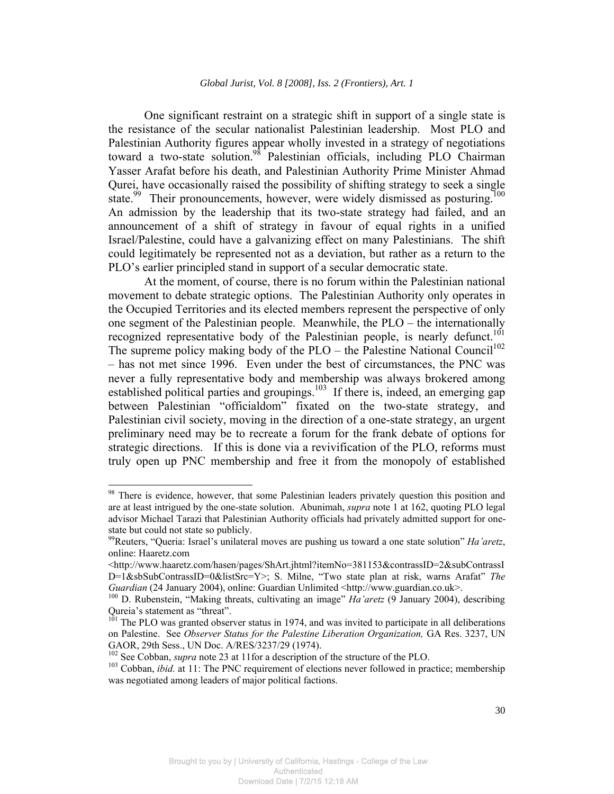One significant restraint on a strategic shift in support of a single state is the resistance of the secular nationalist Palestinian leadership. Most PLO and Palestinian Authority figures appear wholly invested in a strategy of negotiations toward a two-state solution.<sup>98</sup> Palestinian officials, including PLO Chairman Yasser Arafat before his death, and Palestinian Authority Prime Minister Ahmad Qurei, have occasionally raised the possibility of shifting strategy to seek a single state.<sup>99</sup> Their pronouncements, however, were widely dismissed as posturing.<sup>100</sup> An admission by the leadership that its two-state strategy had failed, and an announcement of a shift of strategy in favour of equal rights in a unified Israel/Palestine, could have a galvanizing effect on many Palestinians. The shift could legitimately be represented not as a deviation, but rather as a return to the PLO's earlier principled stand in support of a secular democratic state.

At the moment, of course, there is no forum within the Palestinian national movement to debate strategic options. The Palestinian Authority only operates in the Occupied Territories and its elected members represent the perspective of only one segment of the Palestinian people. Meanwhile, the PLO – the internationally recognized representative body of the Palestinian people, is nearly defunct.<sup>101</sup> The supreme policy making body of the PLO – the Palestine National Council<sup>102</sup> – has not met since 1996. Even under the best of circumstances, the PNC was never a fully representative body and membership was always brokered among established political parties and groupings.<sup>103</sup> If there is, indeed, an emerging gap between Palestinian "officialdom" fixated on the two-state strategy, and Palestinian civil society, moving in the direction of a one-state strategy, an urgent preliminary need may be to recreate a forum for the frank debate of options for strategic directions. If this is done via a revivification of the PLO, reforms must truly open up PNC membership and free it from the monopoly of established

<sup>&</sup>lt;sup>98</sup> There is evidence, however, that some Palestinian leaders privately question this position and are at least intrigued by the one-state solution. Abunimah, *supra* note 1 at 162, quoting PLO legal advisor Michael Tarazi that Palestinian Authority officials had privately admitted support for onestate but could not state so publicly.

<sup>99</sup> Reuters, "Queria: Israel's unilateral moves are pushing us toward a one state solution" *Ha'aretz*, online: Haaretz.com

<sup>&</sup>lt;http://www.haaretz.com/hasen/pages/ShArt.jhtml?itemNo=381153&contrassID=2&subContrassI D=1&sbSubContrassID=0&listSrc=Y>; S. Milne, "Two state plan at risk, warns Arafat" *The Guardian* (24 January 2004), online: Guardian Unlimited <http://www.guardian.co.uk>.

<sup>&</sup>lt;sup>100</sup> D. Rubenstein, "Making threats, cultivating an image" *Ha'aretz* (9 January 2004), describing Qureia's statement as "threat".

 $101$  The PLO was granted observer status in 1974, and was invited to participate in all deliberations on Palestine. See *Observer Status for the Palestine Liberation Organization,* GA Res. 3237, UN GAOR, 29th Sess., UN Doc. A/RES/3237/29 (1974).

<sup>&</sup>lt;sup>102</sup> See Cobban, *supra* note 23 at 11for a description of the structure of the PLO.<br><sup>103</sup> Cobban, *ibid.* at 11; The PNC requirement of elections never followed in pro-

<sup>&</sup>lt;sup>103</sup> Cobban, *ibid.* at 11: The PNC requirement of elections never followed in practice; membership was negotiated among leaders of major political factions.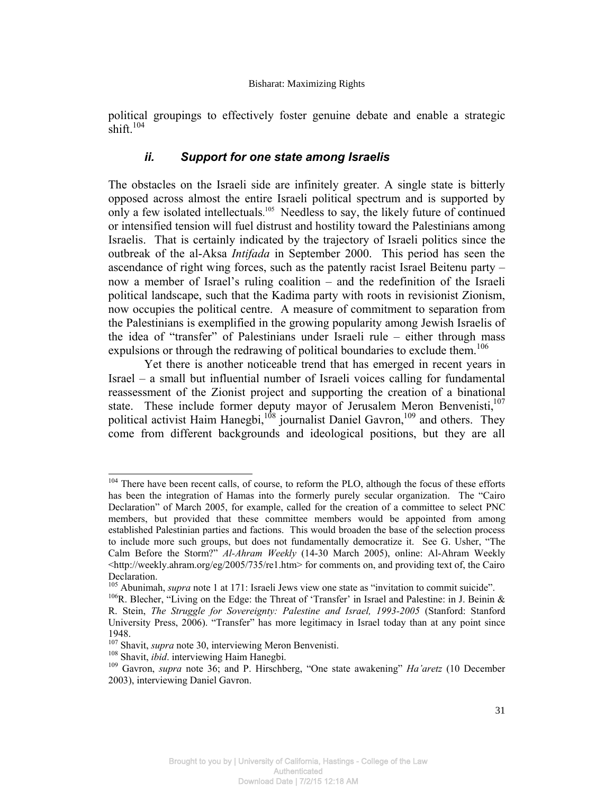political groupings to effectively foster genuine debate and enable a strategic shift. $104$ 

## *ii. Support for one state among Israelis*

The obstacles on the Israeli side are infinitely greater. A single state is bitterly opposed across almost the entire Israeli political spectrum and is supported by only a few isolated intellectuals. 105 Needless to say, the likely future of continued or intensified tension will fuel distrust and hostility toward the Palestinians among Israelis. That is certainly indicated by the trajectory of Israeli politics since the outbreak of the al-Aksa *Intifada* in September 2000. This period has seen the ascendance of right wing forces, such as the patently racist Israel Beitenu party – now a member of Israel's ruling coalition – and the redefinition of the Israeli political landscape, such that the Kadima party with roots in revisionist Zionism, now occupies the political centre. A measure of commitment to separation from the Palestinians is exemplified in the growing popularity among Jewish Israelis of the idea of "transfer" of Palestinians under Israeli rule – either through mass expulsions or through the redrawing of political boundaries to exclude them.<sup>106</sup>

Yet there is another noticeable trend that has emerged in recent years in Israel – a small but influential number of Israeli voices calling for fundamental reassessment of the Zionist project and supporting the creation of a binational state. These include former deputy mayor of Jerusalem Meron Benvenisti,<sup>107</sup> political activist Haim Hanegbi,<sup>108</sup> journalist Daniel Gavron,<sup>109</sup> and others. They come from different backgrounds and ideological positions, but they are all

<sup>&</sup>lt;sup>104</sup> There have been recent calls, of course, to reform the PLO, although the focus of these efforts has been the integration of Hamas into the formerly purely secular organization. The "Cairo Declaration" of March 2005, for example, called for the creation of a committee to select PNC members, but provided that these committee members would be appointed from among established Palestinian parties and factions. This would broaden the base of the selection process to include more such groups, but does not fundamentally democratize it. See G. Usher, "The Calm Before the Storm?" *Al-Ahram Weekly* (14-30 March 2005), online: Al-Ahram Weekly  $\langle$ http://weekly.ahram.org/eg/2005/735/re1.htm> for comments on, and providing text of, the Cairo Declaration.

<sup>&</sup>lt;sup>105</sup> Abunimah, *supra* note 1 at 171: Israeli Jews view one state as "invitation to commit suicide".<br><sup>106</sup>B. Blocher, "Living on the Edge: the Threat of 'Transfer' in Israel and Pelestine; in I. Beinin.

<sup>&</sup>lt;sup>106</sup>R. Blecher, "Living on the Edge: the Threat of 'Transfer' in Israel and Palestine: in J. Beinin & R. Stein, *The Struggle for Sovereignty: Palestine and Israel, 1993-2005* (Stanford: Stanford University Press, 2006). "Transfer" has more legitimacy in Israel today than at any point since 1948.

<sup>&</sup>lt;sup>107</sup> Shavit, *supra* note 30, interviewing Meron Benvenisti.  $\frac{108}{2}$  Shavit *ibid* interviewing Heim Hangghi

<sup>&</sup>lt;sup>108</sup> Shavit, *ibid*. interviewing Haim Hanegbi.

<sup>&</sup>lt;sup>109</sup> Gavron, *supra* note 36; and P. Hirschberg, "One state awakening" *Ha'aretz* (10 December 2003), interviewing Daniel Gavron.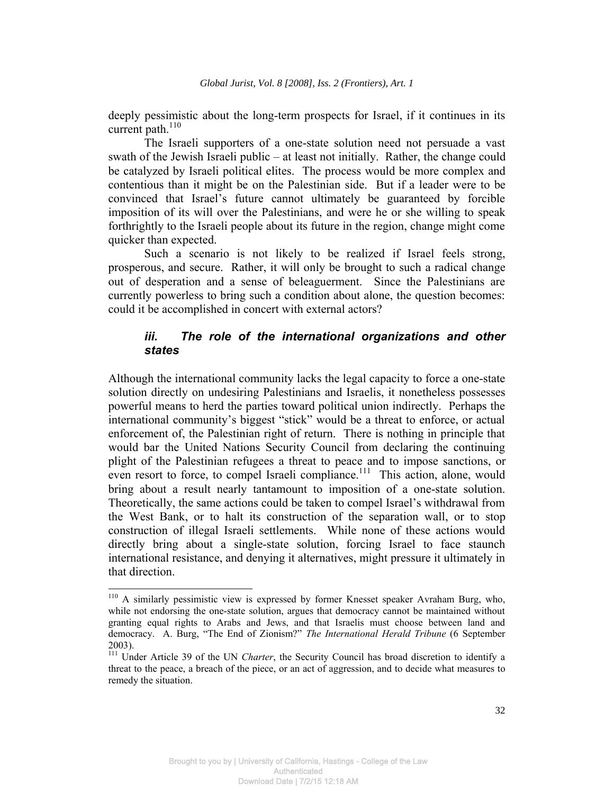deeply pessimistic about the long-term prospects for Israel, if it continues in its current path. $110$ 

The Israeli supporters of a one-state solution need not persuade a vast swath of the Jewish Israeli public – at least not initially. Rather, the change could be catalyzed by Israeli political elites. The process would be more complex and contentious than it might be on the Palestinian side. But if a leader were to be convinced that Israel's future cannot ultimately be guaranteed by forcible imposition of its will over the Palestinians, and were he or she willing to speak forthrightly to the Israeli people about its future in the region, change might come quicker than expected.

Such a scenario is not likely to be realized if Israel feels strong, prosperous, and secure. Rather, it will only be brought to such a radical change out of desperation and a sense of beleaguerment. Since the Palestinians are currently powerless to bring such a condition about alone, the question becomes: could it be accomplished in concert with external actors?

## *iii. The role of the international organizations and other states*

Although the international community lacks the legal capacity to force a one-state solution directly on undesiring Palestinians and Israelis, it nonetheless possesses powerful means to herd the parties toward political union indirectly. Perhaps the international community's biggest "stick" would be a threat to enforce, or actual enforcement of, the Palestinian right of return. There is nothing in principle that would bar the United Nations Security Council from declaring the continuing plight of the Palestinian refugees a threat to peace and to impose sanctions, or even resort to force, to compel Israeli compliance.<sup>111</sup> This action, alone, would bring about a result nearly tantamount to imposition of a one-state solution. Theoretically, the same actions could be taken to compel Israel's withdrawal from the West Bank, or to halt its construction of the separation wall, or to stop construction of illegal Israeli settlements. While none of these actions would directly bring about a single-state solution, forcing Israel to face staunch international resistance, and denying it alternatives, might pressure it ultimately in that direction.

<sup>&</sup>lt;sup>110</sup> A similarly pessimistic view is expressed by former Knesset speaker Avraham Burg, who, while not endorsing the one-state solution, argues that democracy cannot be maintained without granting equal rights to Arabs and Jews, and that Israelis must choose between land and democracy. A. Burg, "The End of Zionism?" *The International Herald Tribune* (6 September 2003).

<sup>&</sup>lt;sup>111</sup> Under Article 39 of the UN *Charter*, the Security Council has broad discretion to identify a threat to the peace, a breach of the piece, or an act of aggression, and to decide what measures to remedy the situation.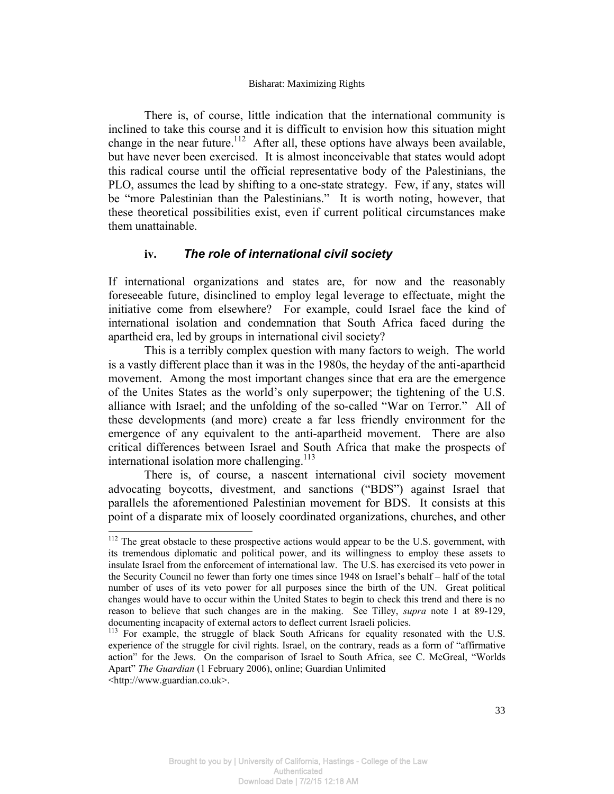There is, of course, little indication that the international community is inclined to take this course and it is difficult to envision how this situation might change in the near future.<sup>112</sup> After all, these options have always been available, but have never been exercised. It is almost inconceivable that states would adopt this radical course until the official representative body of the Palestinians, the PLO, assumes the lead by shifting to a one-state strategy. Few, if any, states will be "more Palestinian than the Palestinians." It is worth noting, however, that these theoretical possibilities exist, even if current political circumstances make them unattainable.

## **iv.** *The role of international civil society*

If international organizations and states are, for now and the reasonably foreseeable future, disinclined to employ legal leverage to effectuate, might the initiative come from elsewhere? For example, could Israel face the kind of international isolation and condemnation that South Africa faced during the apartheid era, led by groups in international civil society?

This is a terribly complex question with many factors to weigh. The world is a vastly different place than it was in the 1980s, the heyday of the anti-apartheid movement. Among the most important changes since that era are the emergence of the Unites States as the world's only superpower; the tightening of the U.S. alliance with Israel; and the unfolding of the so-called "War on Terror." All of these developments (and more) create a far less friendly environment for the emergence of any equivalent to the anti-apartheid movement. There are also critical differences between Israel and South Africa that make the prospects of international isolation more challenging.<sup>113</sup>

There is, of course, a nascent international civil society movement advocating boycotts, divestment, and sanctions ("BDS") against Israel that parallels the aforementioned Palestinian movement for BDS. It consists at this point of a disparate mix of loosely coordinated organizations, churches, and other

<sup>&</sup>lt;sup>112</sup> The great obstacle to these prospective actions would appear to be the U.S. government, with its tremendous diplomatic and political power, and its willingness to employ these assets to insulate Israel from the enforcement of international law. The U.S. has exercised its veto power in the Security Council no fewer than forty one times since 1948 on Israel's behalf – half of the total number of uses of its veto power for all purposes since the birth of the UN. Great political changes would have to occur within the United States to begin to check this trend and there is no reason to believe that such changes are in the making. See Tilley, *supra* note 1 at 89-129, documenting incapacity of external actors to deflect current Israeli policies.

<sup>&</sup>lt;sup>113</sup> For example, the struggle of black South Africans for equality resonated with the U.S. experience of the struggle for civil rights. Israel, on the contrary, reads as a form of "affirmative action" for the Jews. On the comparison of Israel to South Africa, see C. McGreal, "Worlds Apart" *The Guardian* (1 February 2006), online; Guardian Unlimited

<sup>&</sup>lt;http://www.guardian.co.uk>.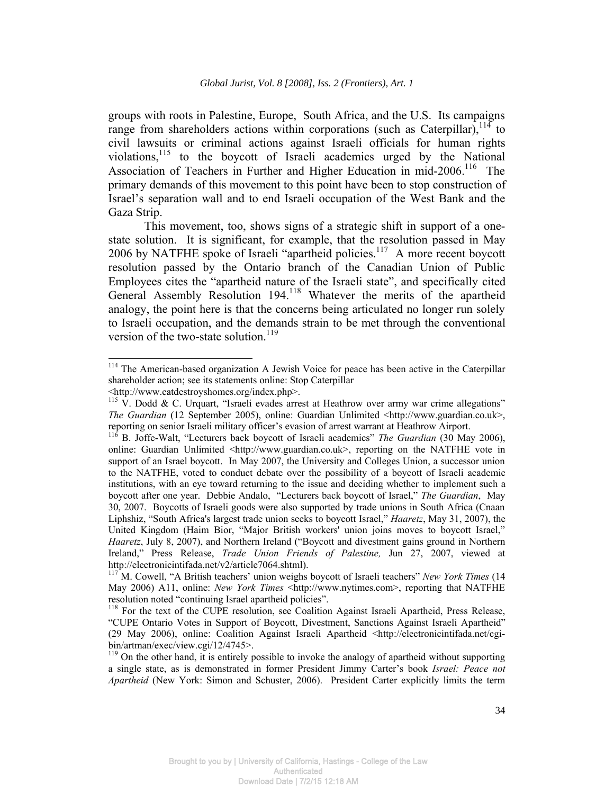groups with roots in Palestine, Europe, South Africa, and the U.S. Its campaigns range from shareholders actions within corporations (such as Caterpillar),  $114$  to civil lawsuits or criminal actions against Israeli officials for human rights violations,  $115$  to the boycott of Israeli academics urged by the National Association of Teachers in Further and Higher Education in mid-2006.<sup>116</sup> The primary demands of this movement to this point have been to stop construction of Israel's separation wall and to end Israeli occupation of the West Bank and the Gaza Strip.

This movement, too, shows signs of a strategic shift in support of a onestate solution. It is significant, for example, that the resolution passed in May 2006 by NATFHE spoke of Israeli "apartheid policies.<sup>117</sup> A more recent boycott resolution passed by the Ontario branch of the Canadian Union of Public Employees cites the "apartheid nature of the Israeli state", and specifically cited General Assembly Resolution 194.<sup>118</sup> Whatever the merits of the apartheid analogy, the point here is that the concerns being articulated no longer run solely to Israeli occupation, and the demands strain to be met through the conventional version of the two-state solution.<sup>119</sup>

<sup>&</sup>lt;sup>114</sup> The American-based organization A Jewish Voice for peace has been active in the Caterpillar shareholder action; see its statements online: Stop Caterpillar

<sup>&</sup>lt;http://www.catdestroyshomes.org/index.php>.

 $115$  V. Dodd & C. Urquart, "Israeli evades arrest at Heathrow over army war crime allegations" *The Guardian* (12 September 2005), online: Guardian Unlimited <http://www.guardian.co.uk>, reporting on senior Israeli military officer's evasion of arrest warrant at Heathrow Airport. 116 B. Joffe-Walt, "Lecturers back boycott of Israeli academics" *The Guardian* (30 May 2006),

online: Guardian Unlimited <http://www.guardian.co.uk>, reporting on the NATFHE vote in support of an Israel boycott. In May 2007, the University and Colleges Union, a successor union to the NATFHE, voted to conduct debate over the possibility of a boycott of Israeli academic institutions, with an eye toward returning to the issue and deciding whether to implement such a boycott after one year. Debbie Andalo, "Lecturers back boycott of Israel," *The Guardian*, May 30, 2007. Boycotts of Israeli goods were also supported by trade unions in South Africa (Cnaan Liphshiz, "South Africa's largest trade union seeks to boycott Israel," *Haaretz*, May 31, 2007), the United Kingdom (Haim Bior, "Major British workers' union joins moves to boycott Israel," *Haaretz*, July 8, 2007), and Northern Ireland ("Boycott and divestment gains ground in Northern Ireland," Press Release, *Trade Union Friends of Palestine,* Jun 27, 2007, viewed at http://electronicintifada.net/v2/article7064.shtml).

<sup>&</sup>lt;sup>117</sup>M. Cowell, "A British teachers' union weighs boycott of Israeli teachers" *New York Times* (14 May 2006) A11, online: *New York Times* <http://www.nytimes.com>, reporting that NATFHE resolution noted "continuing Israel apartheid policies".

<sup>&</sup>lt;sup>118</sup> For the text of the CUPE resolution, see Coalition Against Israeli Apartheid, Press Release, "CUPE Ontario Votes in Support of Boycott, Divestment, Sanctions Against Israeli Apartheid" (29 May 2006), online: Coalition Against Israeli Apartheid <http://electronicintifada.net/cgibin/artman/exec/view.cgi/12/4745>.

<sup>&</sup>lt;sup>119</sup> On the other hand, it is entirely possible to invoke the analogy of apartheid without supporting a single state, as is demonstrated in former President Jimmy Carter's book *Israel: Peace not Apartheid* (New York: Simon and Schuster, 2006). President Carter explicitly limits the term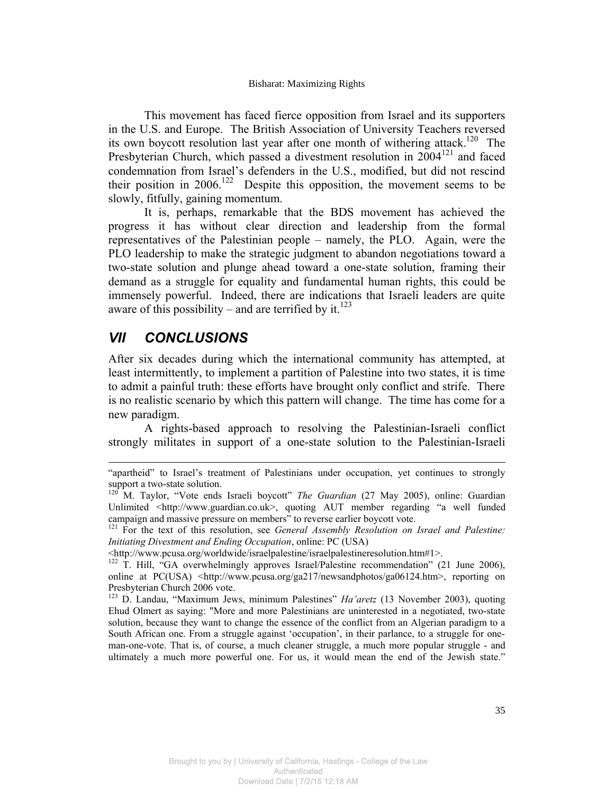This movement has faced fierce opposition from Israel and its supporters in the U.S. and Europe. The British Association of University Teachers reversed its own boycott resolution last year after one month of withering attack.<sup>120</sup> The Presbyterian Church, which passed a divestment resolution in  $2004^{121}$  and faced condemnation from Israel's defenders in the U.S., modified, but did not rescind their position in 2006.<sup>122</sup> Despite this opposition, the movement seems to be slowly, fitfully, gaining momentum.

It is, perhaps, remarkable that the BDS movement has achieved the progress it has without clear direction and leadership from the formal representatives of the Palestinian people – namely, the PLO. Again, were the PLO leadership to make the strategic judgment to abandon negotiations toward a two-state solution and plunge ahead toward a one-state solution, framing their demand as a struggle for equality and fundamental human rights, this could be immensely powerful. Indeed, there are indications that Israeli leaders are quite aware of this possibility – and are terrified by it.<sup>123</sup>

# *VII CONCLUSIONS*

l

After six decades during which the international community has attempted, at least intermittently, to implement a partition of Palestine into two states, it is time to admit a painful truth: these efforts have brought only conflict and strife. There is no realistic scenario by which this pattern will change. The time has come for a new paradigm.

A rights-based approach to resolving the Palestinian-Israeli conflict strongly militates in support of a one-state solution to the Palestinian-Israeli

<sup>&</sup>quot;apartheid" to Israel's treatment of Palestinians under occupation, yet continues to strongly support a two-state solution.

<sup>&</sup>lt;sup>120</sup> M. Taylor, "Vote ends Israeli boycott" *The Guardian* (27 May 2005), online: Guardian Unlimited <http://www.guardian.co.uk>, quoting AUT member regarding "a well funded campaign and massive pressure on members" to reverse earlier boycott vote.

<sup>&</sup>lt;sup>121</sup> For the text of this resolution, see *General Assembly Resolution on Israel and Palestine: Initiating Divestment and Ending Occupation*, online: PC (USA)

<sup>&</sup>lt;http://www.pcusa.org/worldwide/israelpalestine/israelpalestineresolution.htm#1>.

<sup>&</sup>lt;sup>122</sup> T. Hill, "GA overwhelmingly approves Israel/Palestine recommendation" (21 June 2006), online at PC(USA) <http://www.pcusa.org/ga217/newsandphotos/ga06124.htm>, reporting on Presbyterian Church 2006 vote.

<sup>&</sup>lt;sup>123</sup> D. Landau, "Maximum Jews, minimum Palestines" *Ha'aretz* (13 November 2003), quoting Ehud Olmert as saying: "More and more Palestinians are uninterested in a negotiated, two-state solution, because they want to change the essence of the conflict from an Algerian paradigm to a South African one. From a struggle against 'occupation', in their parlance, to a struggle for oneman-one-vote. That is, of course, a much cleaner struggle, a much more popular struggle - and ultimately a much more powerful one. For us, it would mean the end of the Jewish state."